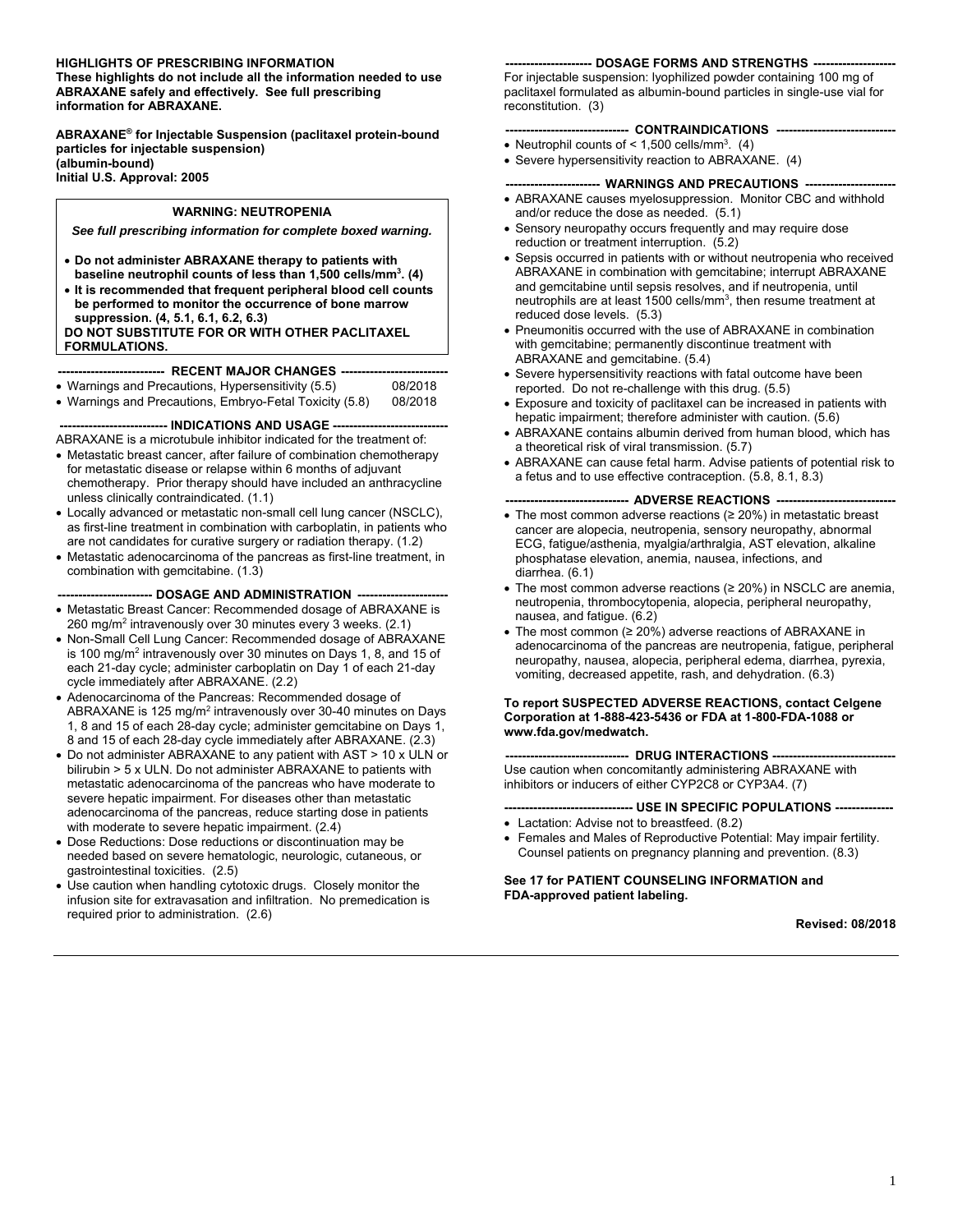# **HIGHLIGHTS OF PRESCRIBING INFORMATION**

**These highlights do not include all the information needed to use ABRAXANE safely and effectively. See full prescribing information for ABRAXANE.** 

**ABRAXANE® for Injectable Suspension (paclitaxel protein-bound particles for injectable suspension) (albumin-bound) Initial U.S. Approval: 2005** 

### **WARNING: NEUTROPENIA**

*See full prescribing information for complete boxed warning.* 

- **Do not administer ABRAXANE therapy to patients with baseline neutrophil counts of less than 1,500 cells/mm3 . (4)**
- **It is recommended that frequent peripheral blood cell counts be performed to monitor the occurrence of bone marrow suppression. (4, 5.1, 6.1, 6.2, 6.3)**

# **DO NOT SUBSTITUTE FOR OR WITH OTHER PACLITAXEL FORMULATIONS.**

#### **-------------------------- RECENT MAJOR CHANGES --------------------------**

- Warnings and Precautions, Hypersensitivity (5.5) 08/2018
- Warnings and Precautions, Embryo-Fetal Toxicity (5.8) 08/2018

#### **----- INDICATIONS AND USAGE ---**

ABRAXANE is a microtubule inhibitor indicated for the treatment of:

- Metastatic breast cancer, after failure of combination chemotherapy for metastatic disease or relapse within 6 months of adjuvant chemotherapy. Prior therapy should have included an anthracycline unless clinically contraindicated. (1.1)
- Locally advanced or metastatic non-small cell lung cancer (NSCLC), as first-line treatment in combination with carboplatin, in patients who are not candidates for curative surgery or radiation therapy. (1.2)
- Metastatic adenocarcinoma of the pancreas as first-line treatment, in combination with gemcitabine. (1.3)

--- DOSAGE AND ADMINISTRATION ----

- Metastatic Breast Cancer: Recommended dosage of ABRAXANE is 260 mg/m<sup>2</sup> intravenously over 30 minutes every 3 weeks. (2.1)
- Non-Small Cell Lung Cancer: Recommended dosage of ABRAXANE is 100 mg/m<sup>2</sup> intravenously over 30 minutes on Days 1, 8, and 15 of each 21-day cycle; administer carboplatin on Day 1 of each 21-day cycle immediately after ABRAXANE. (2.2)
- Adenocarcinoma of the Pancreas: Recommended dosage of ABRAXANE is 125 mg/m<sup>2</sup> intravenously over 30-40 minutes on Days 1, 8 and 15 of each 28-day cycle; administer gemcitabine on Days 1, 8 and 15 of each 28-day cycle immediately after ABRAXANE. (2.3)
- Do not administer ABRAXANE to any patient with AST > 10 x ULN or bilirubin > 5 x ULN. Do not administer ABRAXANE to patients with metastatic adenocarcinoma of the pancreas who have moderate to severe hepatic impairment. For diseases other than metastatic adenocarcinoma of the pancreas, reduce starting dose in patients with moderate to severe hepatic impairment. (2.4)
- Dose Reductions: Dose reductions or discontinuation may be needed based on severe hematologic, neurologic, cutaneous, or gastrointestinal toxicities. (2.5)
- Use caution when handling cytotoxic drugs. Closely monitor the infusion site for extravasation and infiltration. No premedication is required prior to administration. (2.6)

#### **--------------------- DOSAGE FORMS AND STRENGTHS --------------------**

For injectable suspension: lyophilized powder containing 100 mg of paclitaxel formulated as albumin-bound particles in single-use vial for reconstitution. (3)

# --- CONTRAINDICATIONS -

- Neutrophil counts of  $\leq 1,500$  cells/mm<sup>3</sup>. (4)
- Severe hypersensitivity reaction to ABRAXANE. (4)

# **---- WARNINGS AND PRECAUTIONS -----**

- ABRAXANE causes myelosuppression. Monitor CBC and withhold and/or reduce the dose as needed. (5.1)
- Sensory neuropathy occurs frequently and may require dose reduction or treatment interruption. (5.2)
- Sepsis occurred in patients with or without neutropenia who received ABRAXANE in combination with gemcitabine; interrupt ABRAXANE and gemcitabine until sepsis resolves, and if neutropenia, until neutrophils are at least 1500 cells/mm<sup>3</sup>, then resume treatment at reduced dose levels. (5.3)
- Pneumonitis occurred with the use of ABRAXANE in combination with gemcitabine; permanently discontinue treatment with ABRAXANE and gemcitabine. (5.4)
- Severe hypersensitivity reactions with fatal outcome have been reported. Do not re-challenge with this drug. (5.5)
- Exposure and toxicity of paclitaxel can be increased in patients with hepatic impairment; therefore administer with caution. (5.6)
- ABRAXANE contains albumin derived from human blood, which has a theoretical risk of viral transmission. (5.7)
- ABRAXANE can cause fetal harm. Advise patients of potential risk to a fetus and to use effective contraception. (5.8, 8.1, 8.3)

#### **------------------------------ ADVERSE REACTIONS -----------------------------**

- The most common adverse reactions (≥ 20%) in metastatic breast cancer are alopecia, neutropenia, sensory neuropathy, abnormal ECG, fatigue/asthenia, myalgia/arthralgia, AST elevation, alkaline phosphatase elevation, anemia, nausea, infections, and diarrhea. (6.1)
- The most common adverse reactions (≥ 20%) in NSCLC are anemia, neutropenia, thrombocytopenia, alopecia, peripheral neuropathy, nausea, and fatigue. (6.2)
- The most common  $(≥ 20%)$  adverse reactions of ABRAXANE in adenocarcinoma of the pancreas are neutropenia, fatigue, peripheral neuropathy, nausea, alopecia, peripheral edema, diarrhea, pyrexia, vomiting, decreased appetite, rash, and dehydration. (6.3)

#### **To report SUSPECTED ADVERSE REACTIONS, contact Celgene Corporation at 1-888-423-5436 or FDA at 1-800-FDA-1088 or www.fda.gov/medwatch.**

------ DRUG INTERACTIONS ----Use caution when concomitantly administering ABRAXANE with inhibitors or inducers of either CYP2C8 or CYP3A4. (7)

**------------------------------- USE IN SPECIFIC POPULATIONS --------------** 

- Lactation: Advise not to breastfeed. (8.2)
- Females and Males of Reproductive Potential: May impair fertility. Counsel patients on pregnancy planning and prevention. (8.3)

#### **See 17 for PATIENT COUNSELING INFORMATION and FDA-approved patient labeling.**

#### **Revised: 08/2018**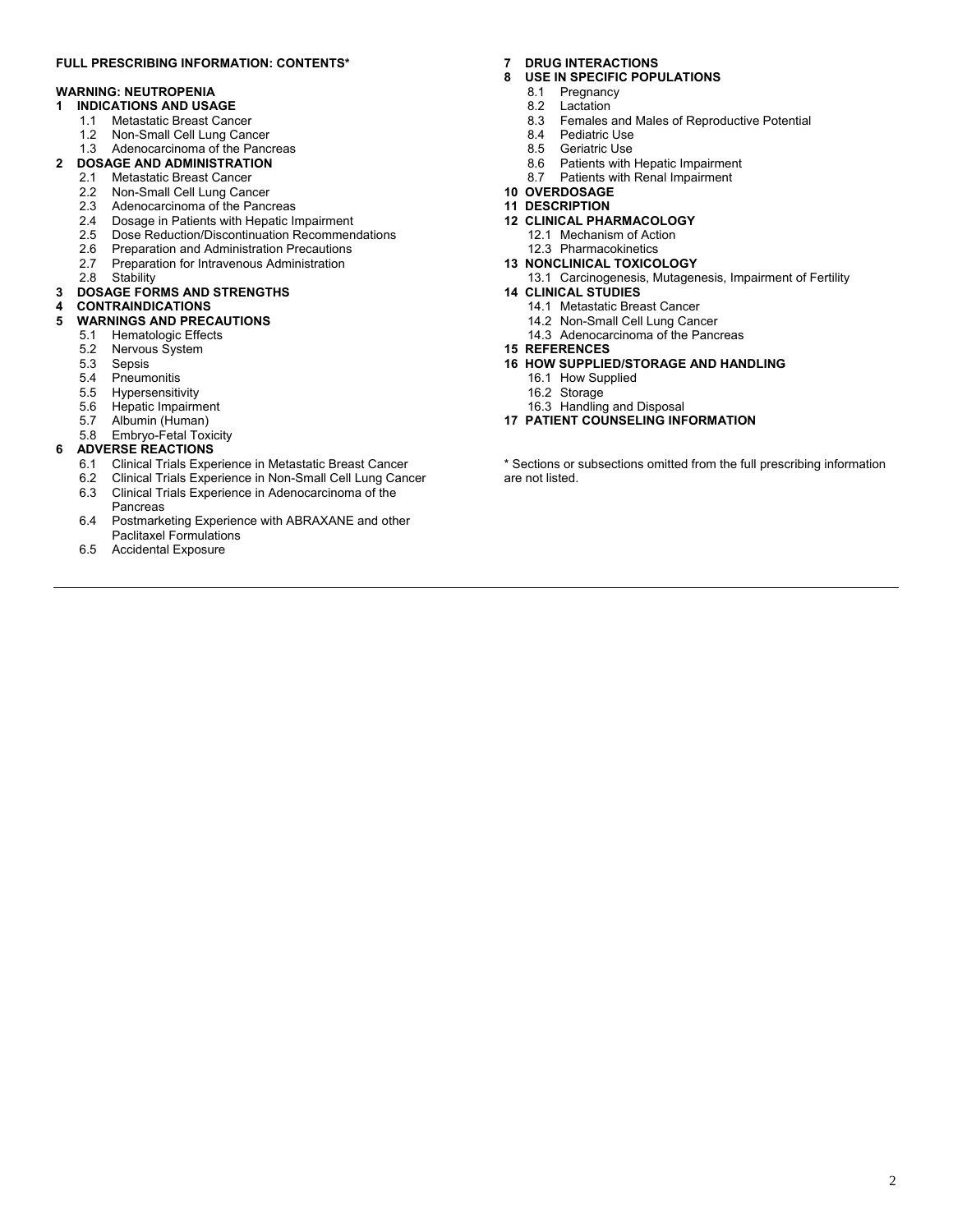# **FULL PRESCRIBING INFORMATION: CONTENTS\***

# **WARNING: NEUTROPENIA**

- **1 INDICATIONS AND USAGE** 
	- 1.1 Metastatic Breast Cancer
	- 1.2 Non-Small Cell Lung Cancer

#### 1.3 Adenocarcinoma of the Pancreas **2 DOSAGE AND ADMINISTRATION**

- 2.1 Metastatic Breast Cancer
	-
	- 2.2 Non-Small Cell Lung Cancer<br>2.3 Adenocarcinoma of the Panc Adenocarcinoma of the Pancreas
	- 2.4 Dosage in Patients with Hepatic Impairment
	-
	- 2.5 Dose Reduction/Discontinuation Recommendations<br>2.6 Preparation and Administration Precautions
	- 2.6 Preparation and Administration Precautions<br>2.7 Preparation for Intravenous Administration 2.7 Preparation for Intravenous Administration<br>2.8 Stability
	- Stability

# **3 DOSAGE FORMS AND STRENGTHS**

# **4 CONTRAINDICATIONS**

- **5 WARNINGS AND PRECAUTIONS** 
	- 5.1 Hematologic Effects<br>5.2 Nervous System
	- Nervous System
	- 5.3 Sepsis
	- 5.4 Pneumonitis
	- 5.5 Hypersensitivity<br>5.6 Hepatic Impairm
	-
	- 5.6 Hepatic Impairment<br>5.7 Albumin (Human)
	- 5.7 Albumin (Human)<br>5.8 Embrvo-Fetal Tox Embryo-Fetal Toxicity

# **6 ADVERSE REACTIONS**<br>6.1 Clinical Trials Expe

- 6.1 Clinical Trials Experience in Metastatic Breast Cancer
- 6.2 Clinical Trials Experience in Non-Small Cell Lung Cancer 6.3 Clinical Trials Experience in Adenocarcinoma of the
- Pancreas
- 6.4 Postmarketing Experience with ABRAXANE and other Paclitaxel Formulations
- 6.5 Accidental Exposure

# **7 DRUG INTERACTIONS**

# **8 USE IN SPECIFIC POPULATIONS**

- 8.1 Pregnancy
- 8.2 Lactation<br>8.3 Females
- 8.3 Females and Males of Reproductive Potential<br>8.4 Pediatric Use
- Pediatric Use
- 8.5 Geriatric Use
- 8.6 Patients with Hepatic Impairment
- 8.7 Patients with Renal Impairment
- **10 OVERDOSAGE**
- **11 DESCRIPTION**
- **12 CLINICAL PHARMACOLOGY** 
	- 12.1 Mechanism of Action
	- 12.3 Pharmacokinetics
- **13 NONCLINICAL TOXICOLOGY**

#### 13.1 Carcinogenesis, Mutagenesis, Impairment of Fertility **14 CLINICAL STUDIES**

- 14.1 Metastatic Breast Cancer
	- 14.2 Non-Small Cell Lung Cancer
	- 14.3 Adenocarcinoma of the Pancreas
- **15 REFERENCES**
- **16 HOW SUPPLIED/STORAGE AND HANDLING** 
	- 16.1 How Supplied
	-
	- 16.2 Storage 16.3 Handling and Disposal
- **17 PATIENT COUNSELING INFORMATION**

\* Sections or subsections omitted from the full prescribing information are not listed.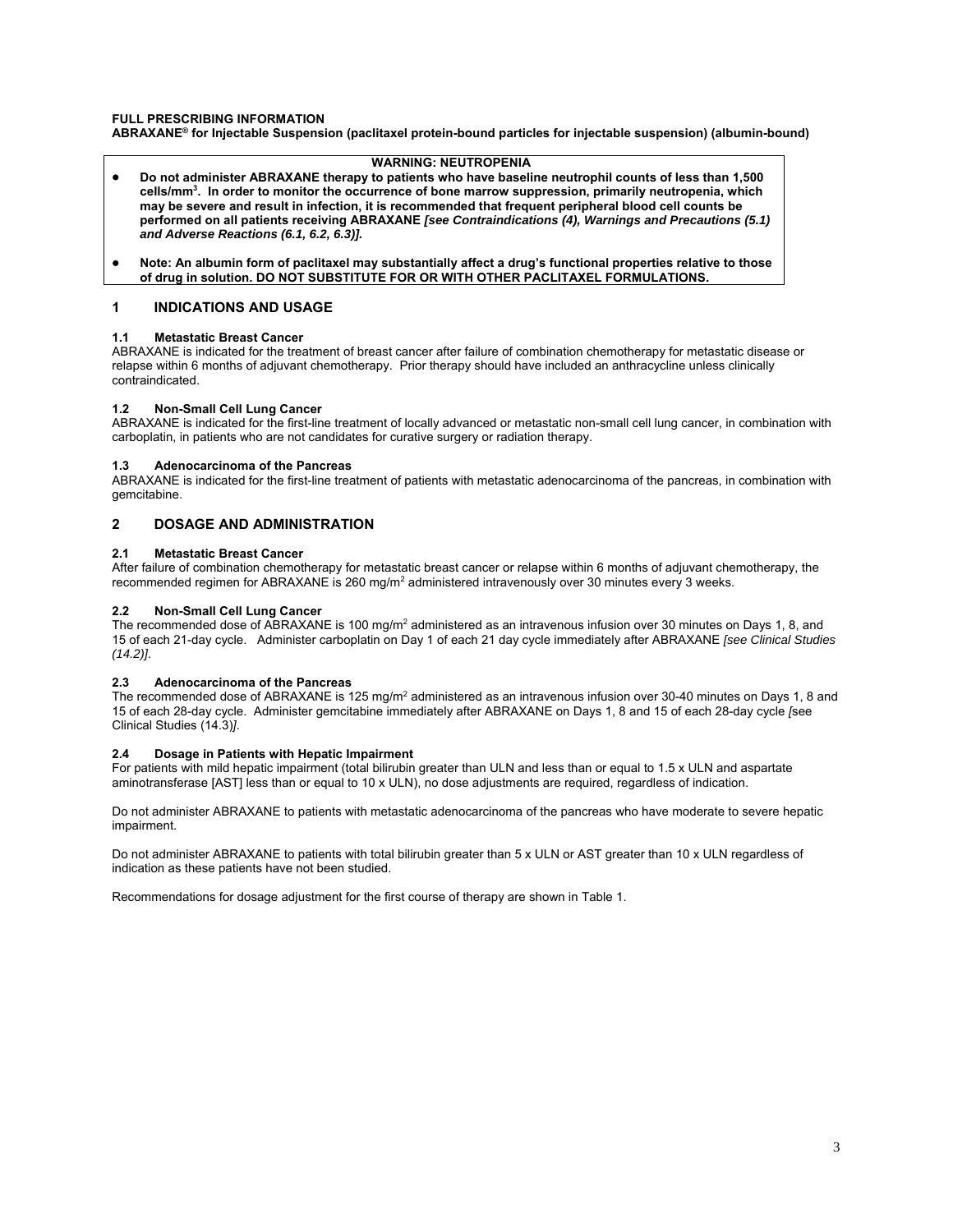# **FULL PRESCRIBING INFORMATION**

**ABRAXANE® for Injectable Suspension (paclitaxel protein-bound particles for injectable suspension) (albumin-bound)** 

# **WARNING: NEUTROPENIA**

- **Do not administer ABRAXANE therapy to patients who have baseline neutrophil counts of less than 1,500 cells/mm3 . In order to monitor the occurrence of bone marrow suppression, primarily neutropenia, which may be severe and result in infection, it is recommended that frequent peripheral blood cell counts be performed on all patients receiving ABRAXANE** *[see Contraindications (4), Warnings and Precautions (5.1) and Adverse Reactions (6.1, 6.2, 6.3)].*
- **Note: An albumin form of paclitaxel may substantially affect a drug's functional properties relative to those of drug in solution. DO NOT SUBSTITUTE FOR OR WITH OTHER PACLITAXEL FORMULATIONS.**

# **1 INDICATIONS AND USAGE**

#### **1.1 Metastatic Breast Cancer**

ABRAXANE is indicated for the treatment of breast cancer after failure of combination chemotherapy for metastatic disease or relapse within 6 months of adjuvant chemotherapy. Prior therapy should have included an anthracycline unless clinically contraindicated.

# **1.2 Non-Small Cell Lung Cancer**

ABRAXANE is indicated for the first-line treatment of locally advanced or metastatic non-small cell lung cancer, in combination with carboplatin, in patients who are not candidates for curative surgery or radiation therapy.

#### **1.3 Adenocarcinoma of the Pancreas**

ABRAXANE is indicated for the first-line treatment of patients with metastatic adenocarcinoma of the pancreas, in combination with gemcitabine.

# **2 DOSAGE AND ADMINISTRATION**

#### **2.1 Metastatic Breast Cancer**

After failure of combination chemotherapy for metastatic breast cancer or relapse within 6 months of adjuvant chemotherapy, the recommended regimen for ABRAXANE is 260 mg/m<sup>2</sup> administered intravenously over 30 minutes every 3 weeks.

### **2.2 Non-Small Cell Lung Cancer**

The recommended dose of ABRAXANE is 100 mg/m<sup>2</sup> administered as an intravenous infusion over 30 minutes on Days 1, 8, and 15 of each 21-day cycle. Administer carboplatin on Day 1 of each 21 day cycle immediately after ABRAXANE *[see Clinical Studies (14.2)]*.

#### **2.3 Adenocarcinoma of the Pancreas**

The recommended dose of ABRAXANE is 125 mg/m<sup>2</sup> administered as an intravenous infusion over 30-40 minutes on Days 1, 8 and 15 of each 28-day cycle. Administer gemcitabine immediately after ABRAXANE on Days 1, 8 and 15 of each 28-day cycle *[*see Clinical Studies (14.3)*]*.

#### **2.4 Dosage in Patients with Hepatic Impairment**

For patients with mild hepatic impairment (total bilirubin greater than ULN and less than or equal to 1.5 x ULN and aspartate aminotransferase [AST] less than or equal to 10 x ULN), no dose adjustments are required, regardless of indication.

Do not administer ABRAXANE to patients with metastatic adenocarcinoma of the pancreas who have moderate to severe hepatic impairment.

Do not administer ABRAXANE to patients with total bilirubin greater than 5 x ULN or AST greater than 10 x ULN regardless of indication as these patients have not been studied.

Recommendations for dosage adjustment for the first course of therapy are shown in Table 1.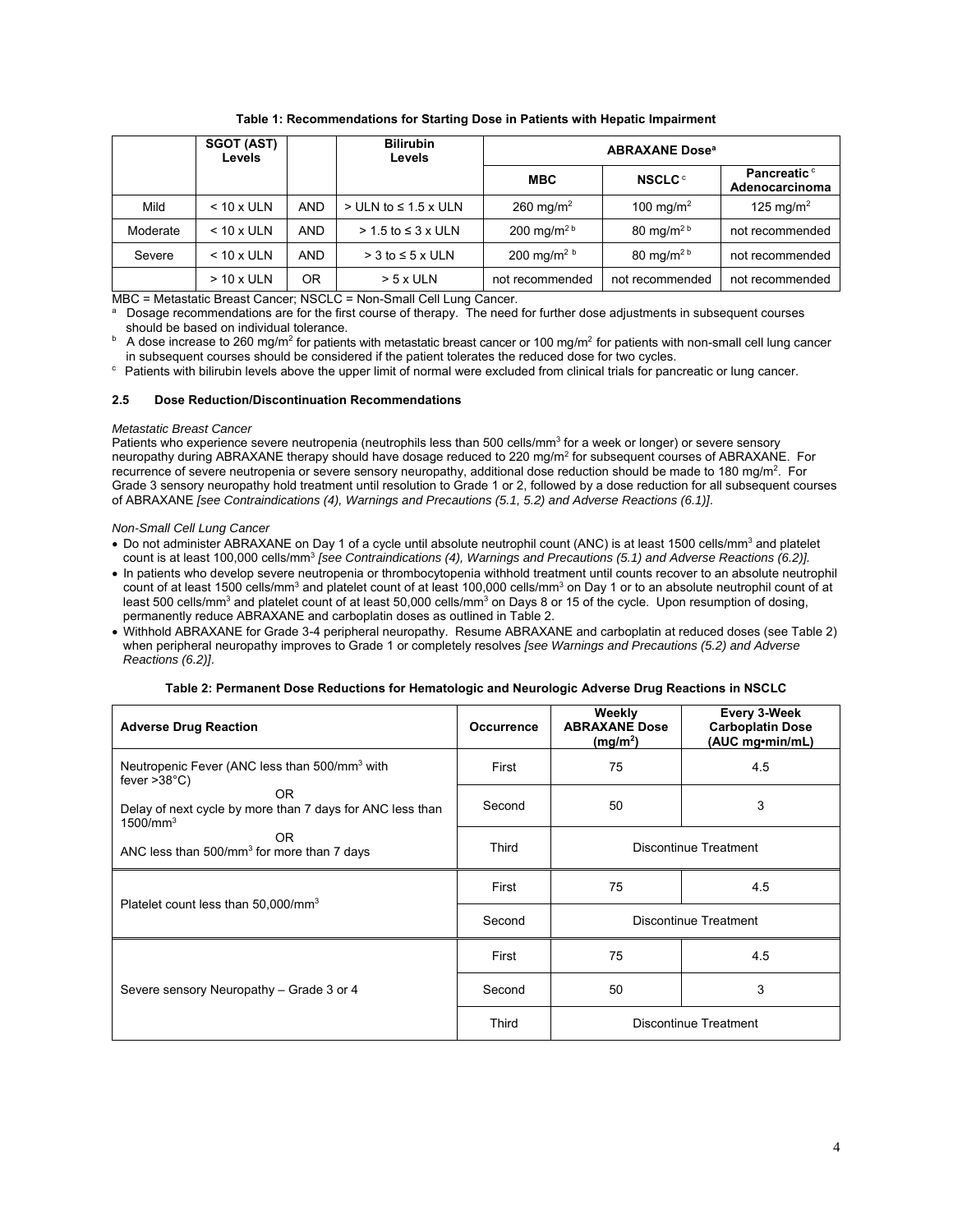|          | <b>SGOT (AST)</b><br><b>Levels</b> |            | <b>Bilirubin</b><br>Levels     | <b>ABRAXANE Dose<sup>a</sup></b> |                          |                                       |
|----------|------------------------------------|------------|--------------------------------|----------------------------------|--------------------------|---------------------------------------|
|          |                                    |            |                                | <b>MBC</b>                       | <b>NSCLC<sup>c</sup></b> | <b>Pancreatic c</b><br>Adenocarcinoma |
| Mild     | $< 10 x$ ULN                       | <b>AND</b> | $>$ ULN to $\leq$ 1.5 x ULN    | 260 mg/m <sup>2</sup>            | 100 mg/m <sup>2</sup>    | 125 mg/m <sup>2</sup>                 |
| Moderate | $< 10 x$ ULN                       | <b>AND</b> | $> 1.5$ to $\leq 3 \times$ ULN | 200 mg/m <sup>2b</sup>           | 80 mg/m <sup>2 b</sup>   | not recommended                       |
| Severe   | $< 10 x$ ULN                       | <b>AND</b> | $>$ 3 to $\leq$ 5 x ULN        | 200 mg/m <sup>2 b</sup>          | 80 mg/m <sup>2b</sup>    | not recommended                       |
|          | $> 10 x$ ULN                       | ΟR         | $> 5x$ ULN                     | not recommended                  | not recommended          | not recommended                       |

**Table 1: Recommendations for Starting Dose in Patients with Hepatic Impairment**

MBC = Metastatic Breast Cancer; NSCLC = Non-Small Cell Lung Cancer.

a Dosage recommendations are for the first course of therapy. The need for further dose adjustments in subsequent courses

should be based on individual tolerance.<br><sup>b</sup> A dose increase to 260 mg/m<sup>2</sup> for patients with metastatic breast cancer or 100 mg/m<sup>2</sup> for patients with non-small cell lung cancer in subsequent courses should be considered if the patient tolerates the reduced dose for two cycles.<br>
Fatients with bilirubin levels above the upper limit of normal were excluded from clinical trials for pancreatic or lung

#### **2.5 Dose Reduction/Discontinuation Recommendations**

#### *Metastatic Breast Cancer*

Patients who experience severe neutropenia (neutrophils less than 500 cells/mm<sup>3</sup> for a week or longer) or severe sensory neuropathy during ABRAXANE therapy should have dosage reduced to 220 mg/m<sup>2</sup> for subsequent courses of ABRAXANE. For recurrence of severe neutropenia or severe sensory neuropathy, additional dose reduction should be made to 180 mg/m<sup>2</sup>. For Grade 3 sensory neuropathy hold treatment until resolution to Grade 1 or 2, followed by a dose reduction for all subsequent courses of ABRAXANE *[see Contraindications (4), Warnings and Precautions (5.1, 5.2) and Adverse Reactions (6.1)]*.

#### *Non-Small Cell Lung Cancer*

- Do not administer ABRAXANE on Day 1 of a cycle until absolute neutrophil count (ANC) is at least 1500 cells/mm<sup>3</sup> and platelet count is at least 100,000 cells/mm3 *[see Contraindications (4), Warnings and Precautions (5.1) and Adverse Reactions (6.2)].*
- In patients who develop severe neutropenia or thrombocytopenia withhold treatment until counts recover to an absolute neutrophil count of at least 1500 cells/mm<sup>3</sup> and platelet count of at least 100,000 cells/mm<sup>3</sup> on Day 1 or to an absolute neutrophil count of at least 500 cells/mm<sup>3</sup> and platelet count of at least 50,000 cells/mm<sup>3</sup> on Days 8 or 15 of the cycle. Upon resumption of dosing, permanently reduce ABRAXANE and carboplatin doses as outlined in Table 2.
- Withhold ABRAXANE for Grade 3-4 peripheral neuropathy. Resume ABRAXANE and carboplatin at reduced doses (see Table 2) when peripheral neuropathy improves to Grade 1 or completely resolves *[see Warnings and Precautions (5.2) and Adverse Reactions (6.2)]*.

|  |  | Table 2: Permanent Dose Reductions for Hematologic and Neurologic Adverse Drug Reactions in NSCLC |
|--|--|---------------------------------------------------------------------------------------------------|
|  |  |                                                                                                   |

| <b>Adverse Drug Reaction</b>                                                             | Occurrence | Weekly<br><b>ABRAXANE Dose</b><br>(mg/m <sup>2</sup> ) | Every 3-Week<br><b>Carboplatin Dose</b><br>(AUC mg•min/mL) |
|------------------------------------------------------------------------------------------|------------|--------------------------------------------------------|------------------------------------------------------------|
| Neutropenic Fever (ANC less than 500/mm <sup>3</sup> with<br>fever $>38^{\circ}$ C)      | First      | 75                                                     | 4.5                                                        |
| OR.<br>Delay of next cycle by more than 7 days for ANC less than<br>1500/mm <sup>3</sup> | Second     | 50                                                     | 3                                                          |
| OR.<br>ANC less than $500/mm3$ for more than 7 days                                      | Third      | Discontinue Treatment                                  |                                                            |
| Platelet count less than 50,000/mm <sup>3</sup>                                          | First      | 75                                                     | 4.5                                                        |
|                                                                                          | Second     | Discontinue Treatment                                  |                                                            |
|                                                                                          | First      | 75                                                     | 4.5                                                        |
| Severe sensory Neuropathy – Grade 3 or 4                                                 | Second     | 50                                                     | 3                                                          |
|                                                                                          | Third      | Discontinue Treatment                                  |                                                            |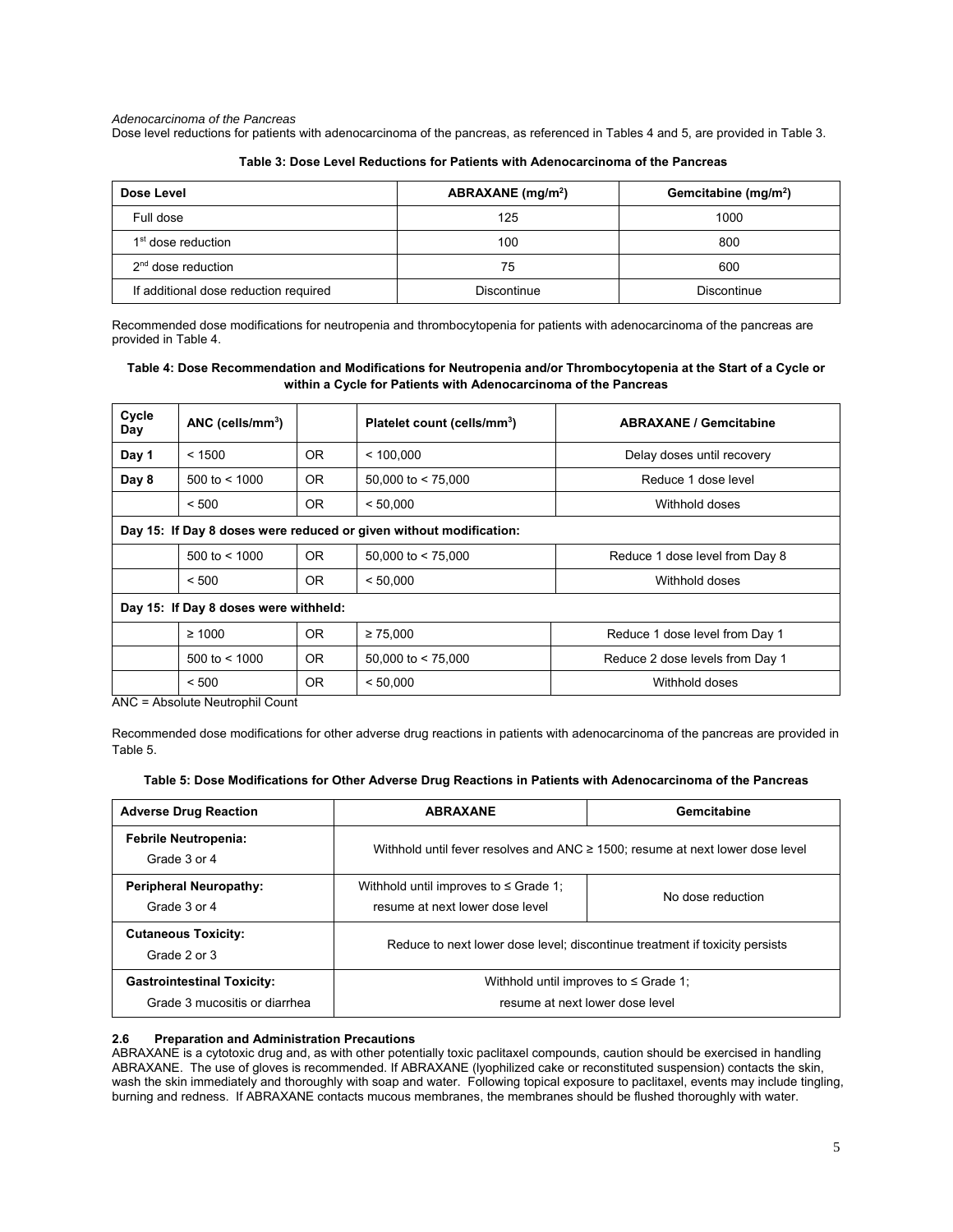*Adenocarcinoma of the Pancreas* 

Dose level reductions for patients with adenocarcinoma of the pancreas, as referenced in Tables 4 and 5, are provided in Table 3.

| Dose Level                            | ABRAXANE $(mq/m2)$ | Gemcitabine (mg/m <sup>2</sup> ) |  |
|---------------------------------------|--------------------|----------------------------------|--|
| Full dose                             | 125                | 1000                             |  |
| 1 <sup>st</sup> dose reduction        | 100                | 800                              |  |
| $2nd$ dose reduction                  | 75                 | 600                              |  |
| If additional dose reduction required | Discontinue        | Discontinue                      |  |

| Table 3: Dose Level Reductions for Patients with Adenocarcinoma of the Pancreas |  |  |
|---------------------------------------------------------------------------------|--|--|
|                                                                                 |  |  |

Recommended dose modifications for neutropenia and thrombocytopenia for patients with adenocarcinoma of the pancreas are provided in Table 4.

# **Table 4: Dose Recommendation and Modifications for Neutropenia and/or Thrombocytopenia at the Start of a Cycle or within a Cycle for Patients with Adenocarcinoma of the Pancreas**

| Cycle<br>Day                                                       | $ANC$ (cells/mm <sup>3</sup> )        |                | Platelet count (cells/mm <sup>3</sup> ) | <b>ABRAXANE / Gemcitabine</b>   |
|--------------------------------------------------------------------|---------------------------------------|----------------|-----------------------------------------|---------------------------------|
| Day 1                                                              | < 1500                                | OR.            | < 100.000                               | Delay doses until recovery      |
| Day 8                                                              | 500 to $< 1000$                       | <b>OR</b>      | 50,000 to $<$ 75,000                    | Reduce 1 dose level             |
|                                                                    | < 500                                 | <b>OR</b>      | < 50.000                                | Withhold doses                  |
| Day 15: If Day 8 doses were reduced or given without modification: |                                       |                |                                         |                                 |
|                                                                    | 500 to $< 1000$                       | <b>OR</b>      | 50,000 to $<$ 75,000                    | Reduce 1 dose level from Day 8  |
|                                                                    | < 500                                 | 0 <sub>R</sub> | < 50.000                                | Withhold doses                  |
|                                                                    | Day 15: If Day 8 doses were withheld: |                |                                         |                                 |
|                                                                    | $\geq 1000$                           | <b>OR</b>      | $\geq 75.000$                           | Reduce 1 dose level from Day 1  |
|                                                                    | $500 \text{ to} < 1000$               | OR.            | $50,000$ to $< 75,000$                  | Reduce 2 dose levels from Day 1 |
|                                                                    | < 500                                 | OR.            | < 50,000                                | Withhold doses                  |

ANC = Absolute Neutrophil Count

Recommended dose modifications for other adverse drug reactions in patients with adenocarcinoma of the pancreas are provided in Table 5.

|  |  | Table 5: Dose Modifications for Other Adverse Drug Reactions in Patients with Adenocarcinoma of the Pancreas |
|--|--|--------------------------------------------------------------------------------------------------------------|
|--|--|--------------------------------------------------------------------------------------------------------------|

| <b>Adverse Drug Reaction</b>                                       | <b>ABRAXANE</b>                                                                    | Gemcitabine       |  |
|--------------------------------------------------------------------|------------------------------------------------------------------------------------|-------------------|--|
| <b>Febrile Neutropenia:</b><br>Grade 3 or 4                        | Withhold until fever resolves and ANC $\geq$ 1500; resume at next lower dose level |                   |  |
| <b>Peripheral Neuropathy:</b><br>Grade 3 or 4                      | Withhold until improves to $\leq$ Grade 1:<br>resume at next lower dose level      | No dose reduction |  |
| <b>Cutaneous Toxicity:</b><br>Grade 2 or 3                         | Reduce to next lower dose level; discontinue treatment if toxicity persists        |                   |  |
| <b>Gastrointestinal Toxicity:</b><br>Grade 3 mucositis or diarrhea | Withhold until improves to $\leq$ Grade 1;<br>resume at next lower dose level      |                   |  |

# **2.6 Preparation and Administration Precautions**

ABRAXANE is a cytotoxic drug and, as with other potentially toxic paclitaxel compounds, caution should be exercised in handling ABRAXANE. The use of gloves is recommended. If ABRAXANE (lyophilized cake or reconstituted suspension) contacts the skin, wash the skin immediately and thoroughly with soap and water. Following topical exposure to paclitaxel, events may include tingling, burning and redness. If ABRAXANE contacts mucous membranes, the membranes should be flushed thoroughly with water.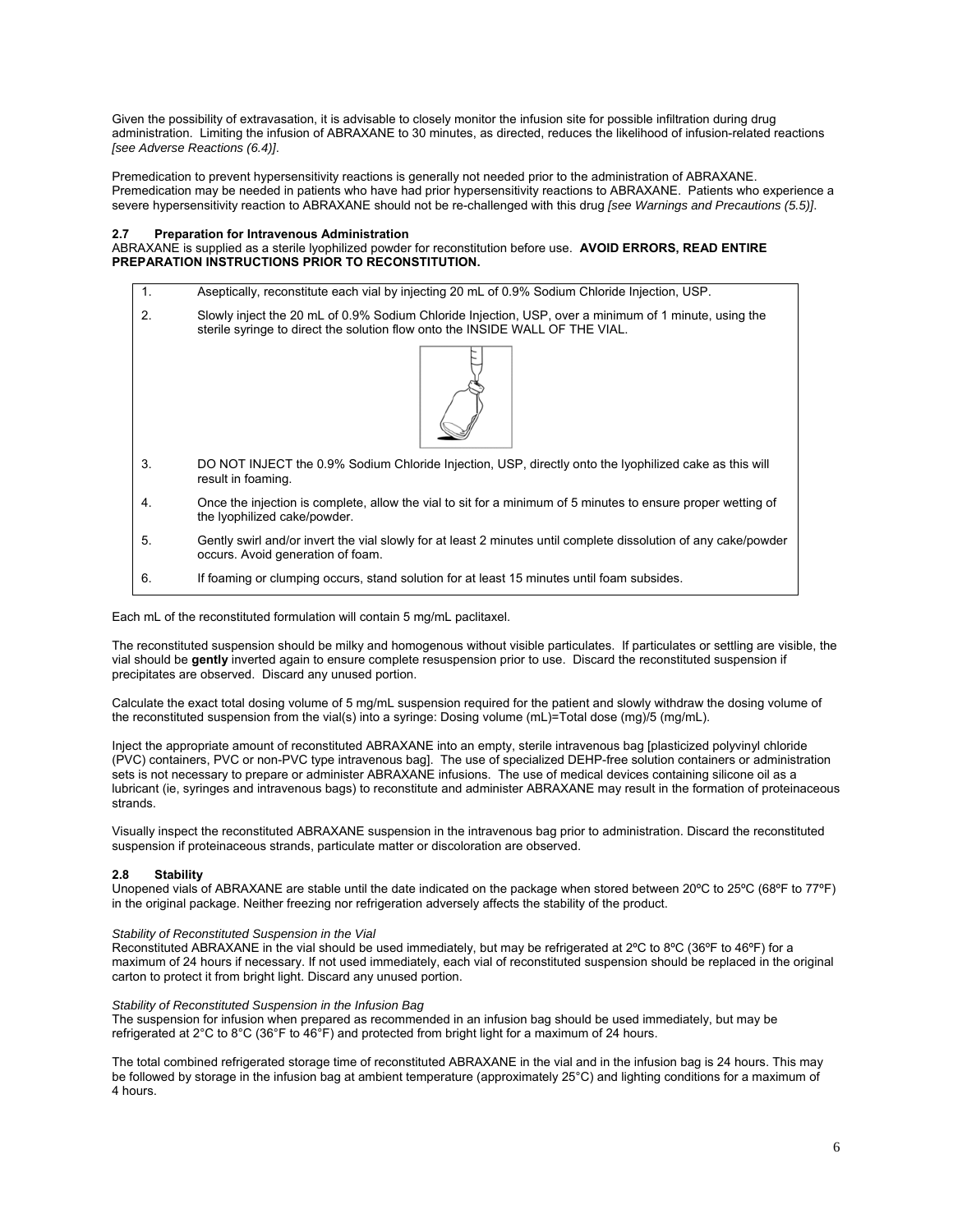Given the possibility of extravasation, it is advisable to closely monitor the infusion site for possible infiltration during drug administration. Limiting the infusion of ABRAXANE to 30 minutes, as directed, reduces the likelihood of infusion-related reactions *[see Adverse Reactions (6.4)]*.

Premedication to prevent hypersensitivity reactions is generally not needed prior to the administration of ABRAXANE. Premedication may be needed in patients who have had prior hypersensitivity reactions to ABRAXANE. Patients who experience a severe hypersensitivity reaction to ABRAXANE should not be re-challenged with this drug *[see Warnings and Precautions (5.5)]*.

# **2.7 Preparation for Intravenous Administration**

ABRAXANE is supplied as a sterile lyophilized powder for reconstitution before use. **AVOID ERRORS, READ ENTIRE PREPARATION INSTRUCTIONS PRIOR TO RECONSTITUTION.** 

- 1. Aseptically, reconstitute each vial by injecting 20 mL of 0.9% Sodium Chloride Injection, USP.
- 2. Slowly inject the 20 mL of 0.9% Sodium Chloride Injection, USP, over a minimum of 1 minute, using the sterile syringe to direct the solution flow onto the INSIDE WALL OF THE VIAL.



- 3. DO NOT INJECT the 0.9% Sodium Chloride Injection, USP, directly onto the lyophilized cake as this will result in foaming.
- 4. Once the injection is complete, allow the vial to sit for a minimum of 5 minutes to ensure proper wetting of the lyophilized cake/powder.
- 5. Gently swirl and/or invert the vial slowly for at least 2 minutes until complete dissolution of any cake/powder occurs. Avoid generation of foam.
- 6. If foaming or clumping occurs, stand solution for at least 15 minutes until foam subsides.

Each mL of the reconstituted formulation will contain 5 mg/mL paclitaxel.

The reconstituted suspension should be milky and homogenous without visible particulates. If particulates or settling are visible, the vial should be **gently** inverted again to ensure complete resuspension prior to use. Discard the reconstituted suspension if precipitates are observed. Discard any unused portion.

Calculate the exact total dosing volume of 5 mg/mL suspension required for the patient and slowly withdraw the dosing volume of the reconstituted suspension from the vial(s) into a syringe: Dosing volume (mL)=Total dose (mg)/5 (mg/mL).

Inject the appropriate amount of reconstituted ABRAXANE into an empty, sterile intravenous bag [plasticized polyvinyl chloride (PVC) containers, PVC or non-PVC type intravenous bag]. The use of specialized DEHP-free solution containers or administration sets is not necessary to prepare or administer ABRAXANE infusions. The use of medical devices containing silicone oil as a lubricant (ie, syringes and intravenous bags) to reconstitute and administer ABRAXANE may result in the formation of proteinaceous strands.

Visually inspect the reconstituted ABRAXANE suspension in the intravenous bag prior to administration. Discard the reconstituted suspension if proteinaceous strands, particulate matter or discoloration are observed.

# **2.8 Stability**

Unopened vials of ABRAXANE are stable until the date indicated on the package when stored between 20ºC to 25ºC (68ºF to 77ºF) in the original package. Neither freezing nor refrigeration adversely affects the stability of the product.

# *Stability of Reconstituted Suspension in the Vial*

Reconstituted ABRAXANE in the vial should be used immediately, but may be refrigerated at 2ºC to 8ºC (36ºF to 46ºF) for a maximum of 24 hours if necessary. If not used immediately, each vial of reconstituted suspension should be replaced in the original carton to protect it from bright light. Discard any unused portion.

# *Stability of Reconstituted Suspension in the Infusion Bag*

The suspension for infusion when prepared as recommended in an infusion bag should be used immediately, but may be refrigerated at 2°C to 8°C (36°F to 46°F) and protected from bright light for a maximum of 24 hours.

The total combined refrigerated storage time of reconstituted ABRAXANE in the vial and in the infusion bag is 24 hours. This may be followed by storage in the infusion bag at ambient temperature (approximately 25°C) and lighting conditions for a maximum of 4 hours.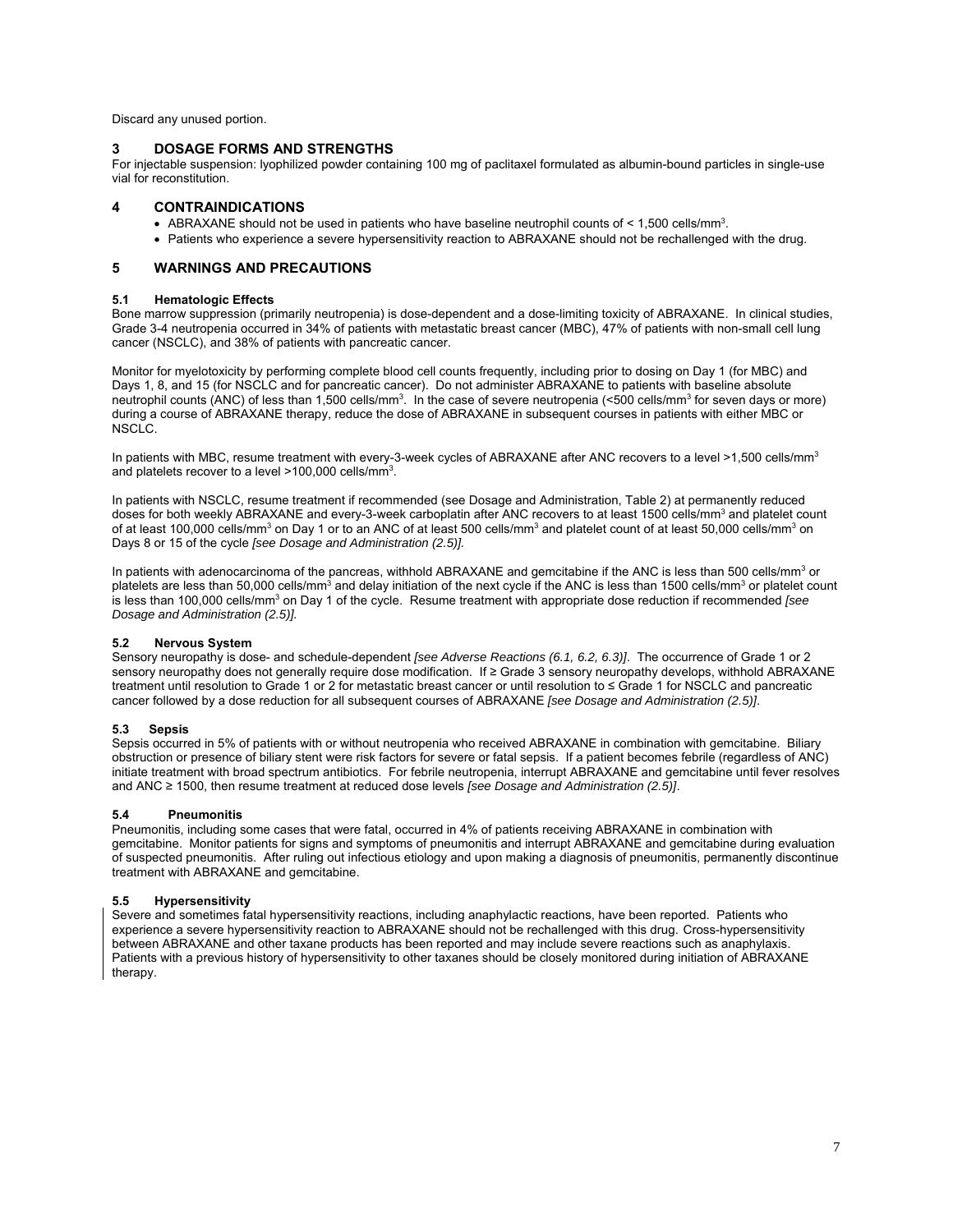Discard any unused portion.

# **3 DOSAGE FORMS AND STRENGTHS**

For injectable suspension: lyophilized powder containing 100 mg of paclitaxel formulated as albumin-bound particles in single-use vial for reconstitution.

# **4 CONTRAINDICATIONS**

- ABRAXANE should not be used in patients who have baseline neutrophil counts of  $\leq 1,500$  cells/mm<sup>3</sup>.
- Patients who experience a severe hypersensitivity reaction to ABRAXANE should not be rechallenged with the drug.

# **5 WARNINGS AND PRECAUTIONS**

# **5.1 Hematologic Effects**

Bone marrow suppression (primarily neutropenia) is dose-dependent and a dose-limiting toxicity of ABRAXANE. In clinical studies, Grade 3-4 neutropenia occurred in 34% of patients with metastatic breast cancer (MBC), 47% of patients with non-small cell lung cancer (NSCLC), and 38% of patients with pancreatic cancer.

Monitor for myelotoxicity by performing complete blood cell counts frequently, including prior to dosing on Day 1 (for MBC) and Days 1, 8, and 15 (for NSCLC and for pancreatic cancer). Do not administer ABRAXANE to patients with baseline absolute neutrophil counts (ANC) of less than 1,500 cells/mm<sup>3</sup>. In the case of severe neutropenia (<500 cells/mm<sup>3</sup> for seven days or more) during a course of ABRAXANE therapy, reduce the dose of ABRAXANE in subsequent courses in patients with either MBC or NSCLC.

In patients with MBC, resume treatment with every-3-week cycles of ABRAXANE after ANC recovers to a level >1,500 cells/mm<sup>3</sup> and platelets recover to a level >100,000 cells/mm<sup>3</sup>.

In patients with NSCLC, resume treatment if recommended (see Dosage and Administration, Table 2) at permanently reduced doses for both weekly ABRAXANE and every-3-week carboplatin after ANC recovers to at least 1500 cells/mm<sup>3</sup> and platelet count of at least 100,000 cells/mm<sup>3</sup> on Day 1 or to an ANC of at least 500 cells/mm<sup>3</sup> and platelet count of at least 50,000 cells/mm<sup>3</sup> on Days 8 or 15 of the cycle *[see Dosage and Administration (2.5)].*

In patients with adenocarcinoma of the pancreas, withhold ABRAXANE and gemcitabine if the ANC is less than 500 cells/mm<sup>3</sup> or platelets are less than 50,000 cells/mm<sup>3</sup> and delay initiation of the next cycle if the ANC is less than 1500 cells/mm<sup>3</sup> or platelet count is less than 100,000 cells/mm<sup>3</sup> on Day 1 of the cycle. Resume treatment with appropriate dose reduction if recommended *[see Dosage and Administration (2.5)].*

# **5.2 Nervous System**

Sensory neuropathy is dose- and schedule-dependent *[see Adverse Reactions (6.1, 6.2, 6.3)]*. The occurrence of Grade 1 or 2 sensory neuropathy does not generally require dose modification. If ≥ Grade 3 sensory neuropathy develops, withhold ABRAXANE treatment until resolution to Grade 1 or 2 for metastatic breast cancer or until resolution to ≤ Grade 1 for NSCLC and pancreatic cancer followed by a dose reduction for all subsequent courses of ABRAXANE *[see Dosage and Administration (2.5)]*.

# **5.3 Sepsis**

Sepsis occurred in 5% of patients with or without neutropenia who received ABRAXANE in combination with gemcitabine. Biliary obstruction or presence of biliary stent were risk factors for severe or fatal sepsis. If a patient becomes febrile (regardless of ANC) initiate treatment with broad spectrum antibiotics. For febrile neutropenia, interrupt ABRAXANE and gemcitabine until fever resolves and ANC ≥ 1500, then resume treatment at reduced dose levels *[see Dosage and Administration (2.5)]*.

# **5.4 Pneumonitis**

Pneumonitis, including some cases that were fatal, occurred in 4% of patients receiving ABRAXANE in combination with gemcitabine. Monitor patients for signs and symptoms of pneumonitis and interrupt ABRAXANE and gemcitabine during evaluation of suspected pneumonitis. After ruling out infectious etiology and upon making a diagnosis of pneumonitis, permanently discontinue treatment with ABRAXANE and gemcitabine.

# **5.5 Hypersensitivity**

Severe and sometimes fatal hypersensitivity reactions, including anaphylactic reactions, have been reported. Patients who experience a severe hypersensitivity reaction to ABRAXANE should not be rechallenged with this drug. Cross-hypersensitivity between ABRAXANE and other taxane products has been reported and may include severe reactions such as anaphylaxis. Patients with a previous history of hypersensitivity to other taxanes should be closely monitored during initiation of ABRAXANE therapy.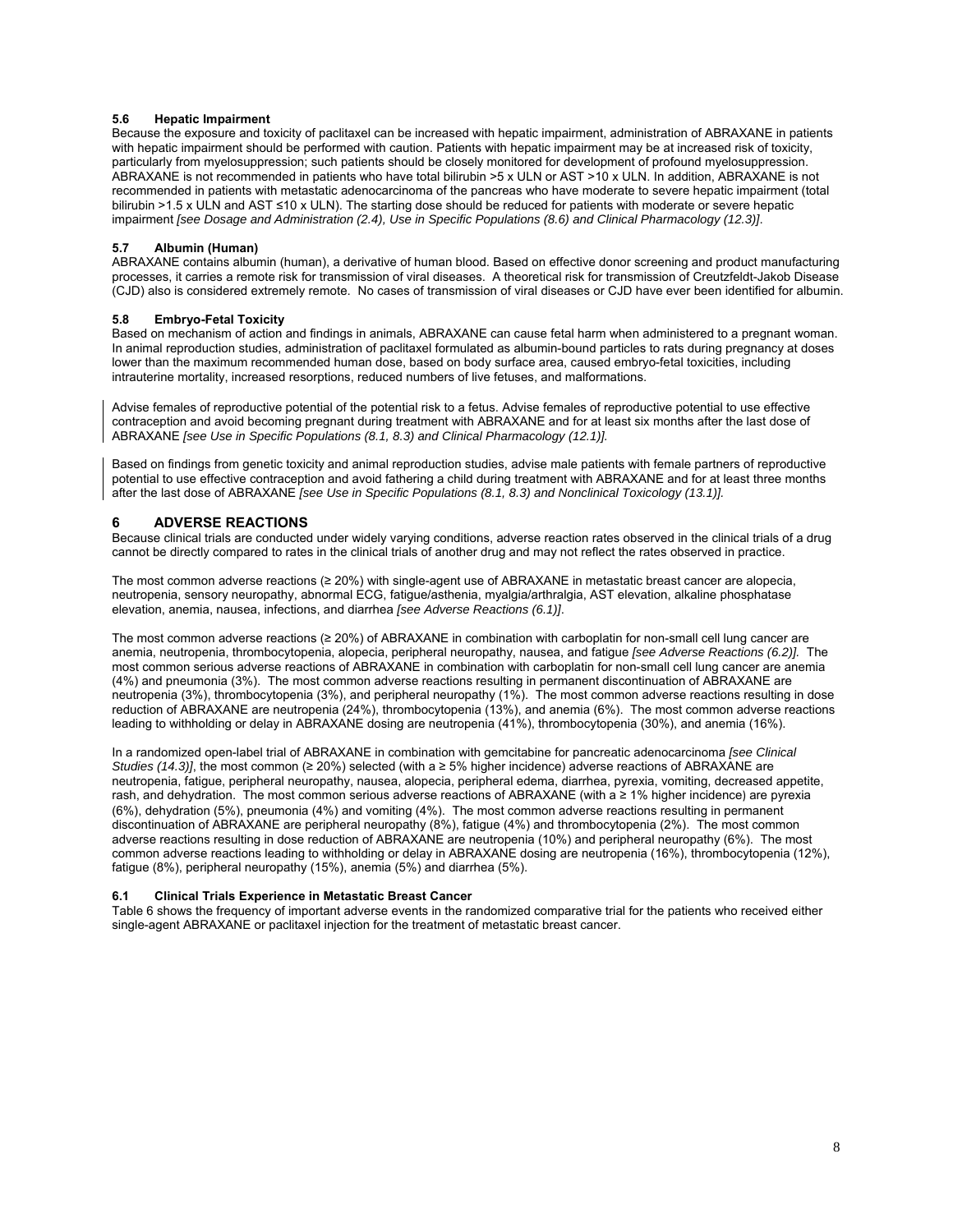# **5.6 Hepatic Impairment**

Because the exposure and toxicity of paclitaxel can be increased with hepatic impairment, administration of ABRAXANE in patients with hepatic impairment should be performed with caution. Patients with hepatic impairment may be at increased risk of toxicity, particularly from myelosuppression; such patients should be closely monitored for development of profound myelosuppression. ABRAXANE is not recommended in patients who have total bilirubin >5 x ULN or AST >10 x ULN. In addition, ABRAXANE is not recommended in patients with metastatic adenocarcinoma of the pancreas who have moderate to severe hepatic impairment (total bilirubin >1.5 x ULN and AST ≤10 x ULN). The starting dose should be reduced for patients with moderate or severe hepatic impairment *[see Dosage and Administration (2.4), Use in Specific Populations (8.6) and Clinical Pharmacology (12.3)]*.

# **5.7 Albumin (Human)**

ABRAXANE contains albumin (human), a derivative of human blood. Based on effective donor screening and product manufacturing processes, it carries a remote risk for transmission of viral diseases. A theoretical risk for transmission of Creutzfeldt-Jakob Disease (CJD) also is considered extremely remote. No cases of transmission of viral diseases or CJD have ever been identified for albumin.

#### **5.8 Embryo-Fetal Toxicity**

Based on mechanism of action and findings in animals, ABRAXANE can cause fetal harm when administered to a pregnant woman. In animal reproduction studies, administration of paclitaxel formulated as albumin-bound particles to rats during pregnancy at doses lower than the maximum recommended human dose, based on body surface area, caused embryo-fetal toxicities, including intrauterine mortality, increased resorptions, reduced numbers of live fetuses, and malformations.

Advise females of reproductive potential of the potential risk to a fetus. Advise females of reproductive potential to use effective contraception and avoid becoming pregnant during treatment with ABRAXANE and for at least six months after the last dose of ABRAXANE *[see Use in Specific Populations (8.1, 8.3) and Clinical Pharmacology (12.1)].* 

Based on findings from genetic toxicity and animal reproduction studies, advise male patients with female partners of reproductive potential to use effective contraception and avoid fathering a child during treatment with ABRAXANE and for at least three months after the last dose of ABRAXANE *[see Use in Specific Populations (8.1, 8.3) and Nonclinical Toxicology (13.1)].* 

# **6 ADVERSE REACTIONS**

Because clinical trials are conducted under widely varying conditions, adverse reaction rates observed in the clinical trials of a drug cannot be directly compared to rates in the clinical trials of another drug and may not reflect the rates observed in practice.

The most common adverse reactions (≥ 20%) with single-agent use of ABRAXANE in metastatic breast cancer are alopecia, neutropenia, sensory neuropathy, abnormal ECG, fatigue/asthenia, myalgia/arthralgia, AST elevation, alkaline phosphatase elevation, anemia, nausea, infections, and diarrhea *[see Adverse Reactions (6.1)]*.

The most common adverse reactions (≥ 20%) of ABRAXANE in combination with carboplatin for non-small cell lung cancer are anemia, neutropenia, thrombocytopenia, alopecia, peripheral neuropathy, nausea, and fatigue *[see Adverse Reactions (6.2)].* The most common serious adverse reactions of ABRAXANE in combination with carboplatin for non-small cell lung cancer are anemia (4%) and pneumonia (3%). The most common adverse reactions resulting in permanent discontinuation of ABRAXANE are neutropenia (3%), thrombocytopenia (3%), and peripheral neuropathy (1%). The most common adverse reactions resulting in dose reduction of ABRAXANE are neutropenia (24%), thrombocytopenia (13%), and anemia (6%). The most common adverse reactions leading to withholding or delay in ABRAXANE dosing are neutropenia (41%), thrombocytopenia (30%), and anemia (16%).

In a randomized open-label trial of ABRAXANE in combination with gemcitabine for pancreatic adenocarcinoma *[see Clinical Studies (14.3)]*, the most common ( $\geq 20\%$ ) selected (with a  $\geq 5\%$  higher incidence) adverse reactions of ABRAXANE are neutropenia, fatigue, peripheral neuropathy, nausea, alopecia, peripheral edema, diarrhea, pyrexia, vomiting, decreased appetite, rash, and dehydration. The most common serious adverse reactions of ABRAXANE (with a ≥ 1% higher incidence) are pyrexia (6%), dehydration (5%), pneumonia (4%) and vomiting (4%). The most common adverse reactions resulting in permanent discontinuation of ABRAXANE are peripheral neuropathy (8%), fatigue (4%) and thrombocytopenia (2%). The most common adverse reactions resulting in dose reduction of ABRAXANE are neutropenia (10%) and peripheral neuropathy (6%). The most common adverse reactions leading to withholding or delay in ABRAXANE dosing are neutropenia (16%), thrombocytopenia (12%), fatigue (8%), peripheral neuropathy (15%), anemia (5%) and diarrhea (5%).

# **6.1 Clinical Trials Experience in Metastatic Breast Cancer**

Table 6 shows the frequency of important adverse events in the randomized comparative trial for the patients who received either single-agent ABRAXANE or paclitaxel injection for the treatment of metastatic breast cancer.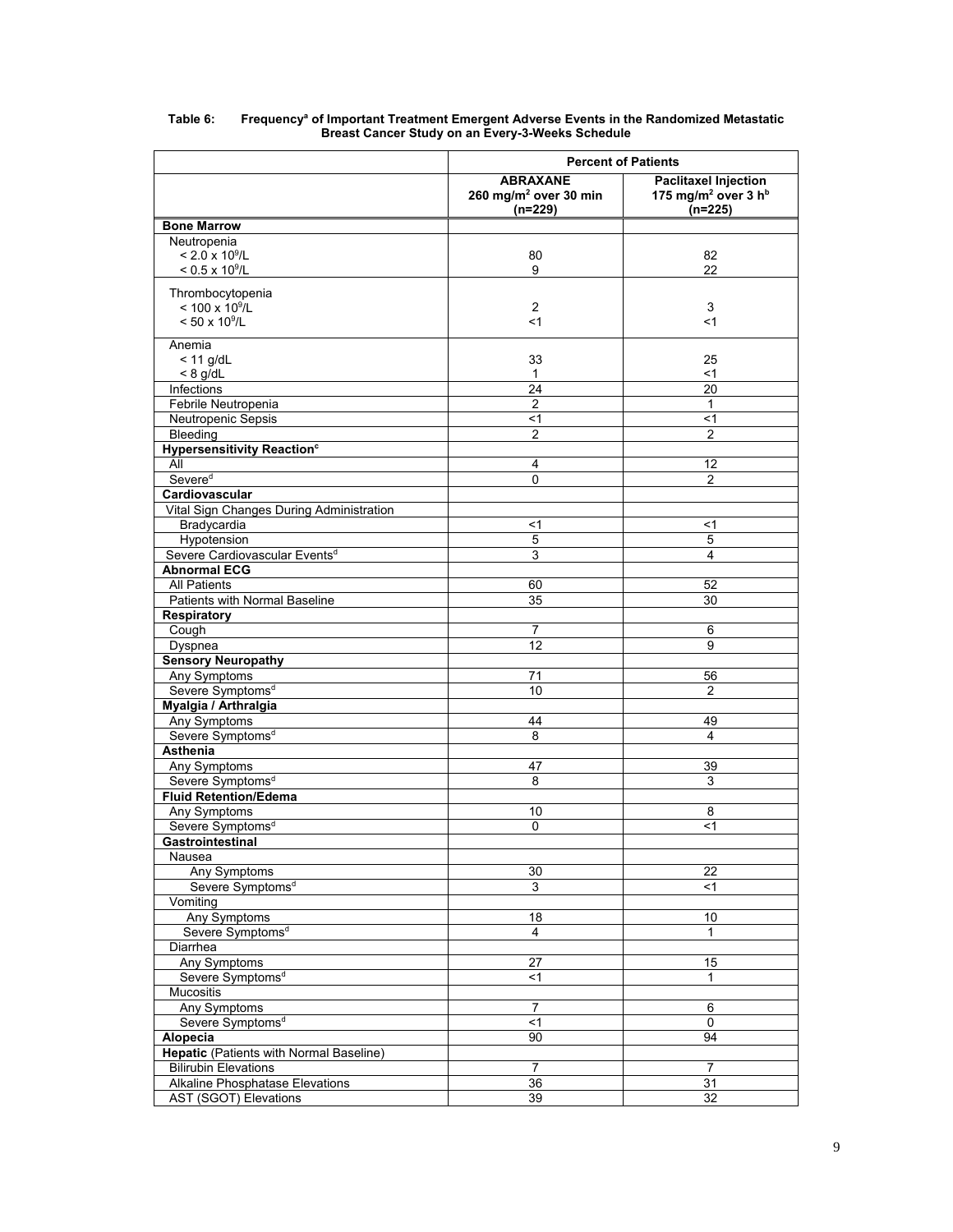|                                              | <b>Percent of Patients</b>                                        |                                                                                         |  |  |
|----------------------------------------------|-------------------------------------------------------------------|-----------------------------------------------------------------------------------------|--|--|
|                                              | <b>ABRAXANE</b><br>260 mg/m <sup>2</sup> over 30 min<br>$(n=229)$ | <b>Paclitaxel Injection</b><br>175 mg/m <sup>2</sup> over 3 h <sup>b</sup><br>$(n=225)$ |  |  |
| <b>Bone Marrow</b>                           |                                                                   |                                                                                         |  |  |
| Neutropenia                                  |                                                                   |                                                                                         |  |  |
| $< 2.0 \times 10^9$ /L                       | 80                                                                | 82                                                                                      |  |  |
| $< 0.5 \times 10^9$ /L                       | 9                                                                 | 22                                                                                      |  |  |
| Thrombocytopenia                             |                                                                   |                                                                                         |  |  |
| $< 100 \times 10^9$ /L                       | 2                                                                 | 3                                                                                       |  |  |
| $< 50 \times 10^9$ /L                        | $<$ 1                                                             | $<$ 1                                                                                   |  |  |
|                                              |                                                                   |                                                                                         |  |  |
| Anemia<br>$<$ 11 g/dL                        | 33                                                                | 25                                                                                      |  |  |
| $< 8$ g/dL                                   | 1                                                                 | $<$ 1                                                                                   |  |  |
| Infections                                   | 24                                                                | 20                                                                                      |  |  |
| Febrile Neutropenia                          | 2                                                                 | $\mathbf{1}$                                                                            |  |  |
| Neutropenic Sepsis                           | $<$ 1                                                             | $<$ 1                                                                                   |  |  |
| Bleeding                                     | $\overline{2}$                                                    | 2                                                                                       |  |  |
| <b>Hypersensitivity Reaction<sup>c</sup></b> |                                                                   |                                                                                         |  |  |
| All                                          | 4                                                                 | 12                                                                                      |  |  |
| Severed                                      | 0                                                                 | $\overline{2}$                                                                          |  |  |
| Cardiovascular                               |                                                                   |                                                                                         |  |  |
| Vital Sign Changes During Administration     |                                                                   |                                                                                         |  |  |
| Bradycardia                                  | <1                                                                | $<$ 1                                                                                   |  |  |
| Hypotension                                  | 5                                                                 | $\overline{5}$                                                                          |  |  |
| Severe Cardiovascular Events <sup>d</sup>    | 3                                                                 | $\overline{4}$                                                                          |  |  |
| <b>Abnormal ECG</b>                          |                                                                   |                                                                                         |  |  |
| <b>All Patients</b>                          | 60                                                                | 52                                                                                      |  |  |
| Patients with Normal Baseline                | 35                                                                | 30                                                                                      |  |  |
| <b>Respiratory</b>                           |                                                                   |                                                                                         |  |  |
| Cough                                        | $\overline{7}$                                                    | $6\phantom{1}6$                                                                         |  |  |
| Dyspnea<br><b>Sensory Neuropathy</b>         | 12                                                                | 9                                                                                       |  |  |
| Any Symptoms                                 | 71                                                                | 56                                                                                      |  |  |
| Severe Symptoms <sup>d</sup>                 | 10                                                                | $\overline{2}$                                                                          |  |  |
| Myalgia / Arthralgia                         |                                                                   |                                                                                         |  |  |
| Any Symptoms                                 | 44                                                                | 49                                                                                      |  |  |
| Severe Symptoms <sup>d</sup>                 | 8                                                                 | 4                                                                                       |  |  |
| <b>Asthenia</b>                              |                                                                   |                                                                                         |  |  |
| Any Symptoms                                 | 47                                                                | 39                                                                                      |  |  |
| Severe Symptoms <sup>d</sup>                 | 8                                                                 | 3                                                                                       |  |  |
| <b>Fluid Retention/Edema</b>                 |                                                                   |                                                                                         |  |  |
| Any Symptoms                                 | 10                                                                | 8                                                                                       |  |  |
| Severe Symptoms <sup>d</sup>                 | 0                                                                 | $<$ 1                                                                                   |  |  |
| Gastrointestinal                             |                                                                   |                                                                                         |  |  |
| Nausea                                       |                                                                   |                                                                                         |  |  |
| Any Symptoms                                 | 30                                                                | 22                                                                                      |  |  |
| Severe Symptoms <sup>d</sup>                 | 3                                                                 | <1                                                                                      |  |  |
| Vomiting                                     |                                                                   |                                                                                         |  |  |
| Any Symptoms                                 | 18                                                                | 10                                                                                      |  |  |
| Severe Symptoms <sup>d</sup><br>Diarrhea     | 4                                                                 | 1                                                                                       |  |  |
| Any Symptoms                                 | 27                                                                | 15                                                                                      |  |  |
| Severe Symptoms <sup>d</sup>                 | <1                                                                | $\mathbf{1}$                                                                            |  |  |
| Mucositis                                    |                                                                   |                                                                                         |  |  |
| Any Symptoms                                 | $\overline{7}$                                                    | 6                                                                                       |  |  |
| Severe Symptoms <sup>d</sup>                 | $<$ 1                                                             | $\pmb{0}$                                                                               |  |  |
| Alopecia                                     | 90                                                                | 94                                                                                      |  |  |
| Hepatic (Patients with Normal Baseline)      |                                                                   |                                                                                         |  |  |
| <b>Bilirubin Elevations</b>                  | $\overline{7}$                                                    | $\overline{7}$                                                                          |  |  |
| Alkaline Phosphatase Elevations              | 36                                                                | 31                                                                                      |  |  |
| AST (SGOT) Elevations                        | 39                                                                | 32                                                                                      |  |  |

### Table 6: Frequencyª of Important Treatment Emergent Adverse Events in the Randomized Metastatic **Breast Cancer Study on an Every-3-Weeks Schedule**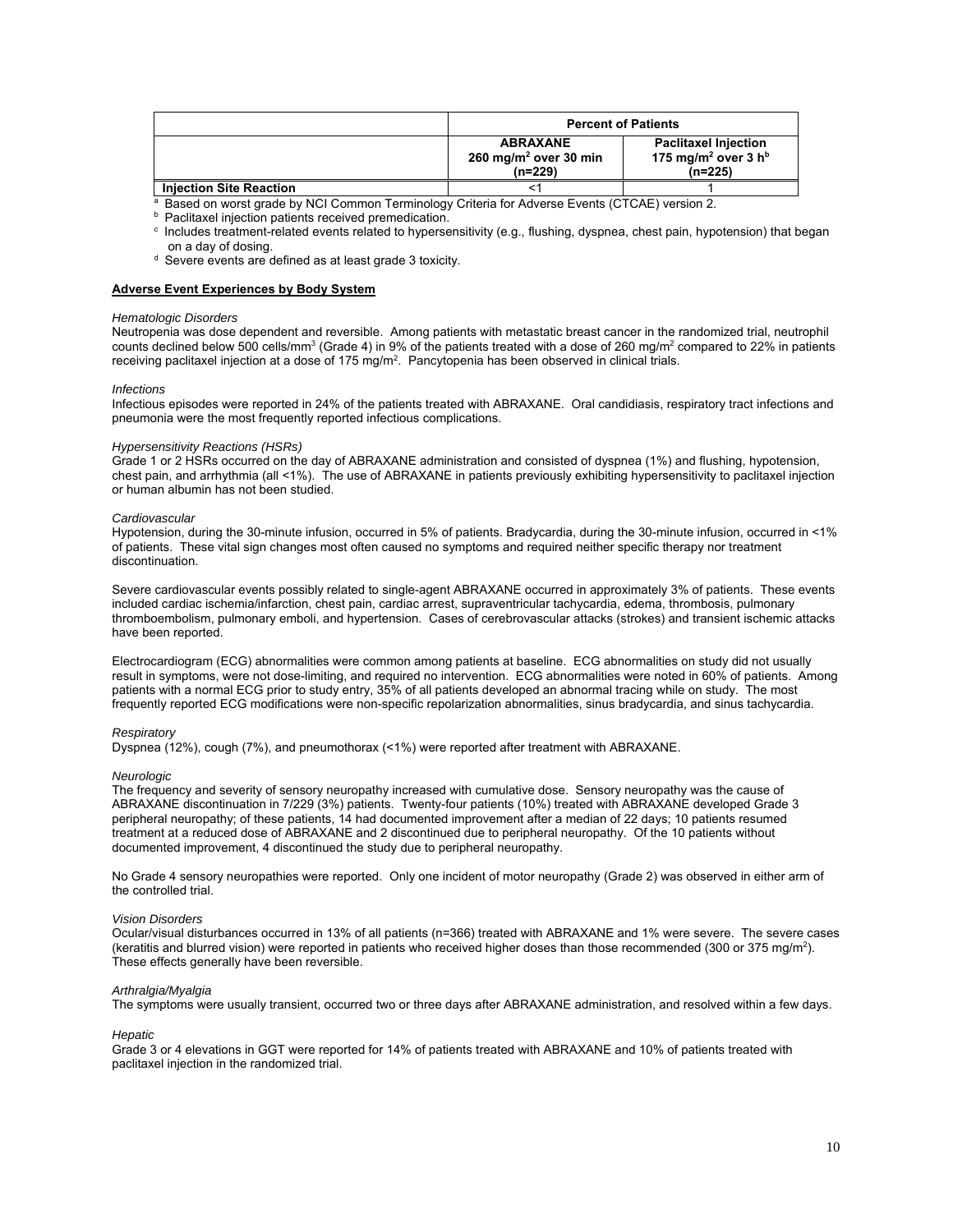|                                | <b>Percent of Patients</b>                                        |                                                                                       |  |
|--------------------------------|-------------------------------------------------------------------|---------------------------------------------------------------------------------------|--|
|                                | <b>ABRAXANE</b><br>260 mg/m <sup>2</sup> over 30 min<br>$(n=229)$ | <b>Paclitaxel Injection</b><br>175 mg/m <sup>2</sup> over 3 h <sup>b</sup><br>(n=225) |  |
| <b>Injection Site Reaction</b> |                                                                   |                                                                                       |  |

a Based on worst grade by NCI Common Terminology Criteria for Adverse Events (CTCAE) version 2.<br>
b Paclitaxel injection patients received premedication.<br>
c Includes treatment-related events related to hypersensitivity (e.g

 $\sigma$  Severe events are defined as at least grade 3 toxicity.

### **Adverse Event Experiences by Body System**

# *Hematologic Disorders*

Neutropenia was dose dependent and reversible. Among patients with metastatic breast cancer in the randomized trial, neutrophil counts declined below 500 cells/mm<sup>3</sup> (Grade 4) in 9% of the patients treated with a dose of 260 mg/m<sup>2</sup> compared to 22% in patients receiving paclitaxel injection at a dose of 175 mg/m<sup>2</sup>. Pancytopenia has been observed in clinical trials.

#### *Infections*

Infectious episodes were reported in 24% of the patients treated with ABRAXANE. Oral candidiasis, respiratory tract infections and pneumonia were the most frequently reported infectious complications.

#### *Hypersensitivity Reactions (HSRs)*

Grade 1 or 2 HSRs occurred on the day of ABRAXANE administration and consisted of dyspnea (1%) and flushing, hypotension, chest pain, and arrhythmia (all <1%). The use of ABRAXANE in patients previously exhibiting hypersensitivity to paclitaxel injection or human albumin has not been studied.

#### *Cardiovascular*

Hypotension, during the 30-minute infusion, occurred in 5% of patients. Bradycardia, during the 30-minute infusion, occurred in <1% of patients. These vital sign changes most often caused no symptoms and required neither specific therapy nor treatment discontinuation.

Severe cardiovascular events possibly related to single-agent ABRAXANE occurred in approximately 3% of patients. These events included cardiac ischemia/infarction, chest pain, cardiac arrest, supraventricular tachycardia, edema, thrombosis, pulmonary thromboembolism, pulmonary emboli, and hypertension. Cases of cerebrovascular attacks (strokes) and transient ischemic attacks have been reported.

Electrocardiogram (ECG) abnormalities were common among patients at baseline. ECG abnormalities on study did not usually result in symptoms, were not dose-limiting, and required no intervention. ECG abnormalities were noted in 60% of patients. Among patients with a normal ECG prior to study entry, 35% of all patients developed an abnormal tracing while on study. The most frequently reported ECG modifications were non-specific repolarization abnormalities, sinus bradycardia, and sinus tachycardia.

#### *Respiratory*

Dyspnea (12%), cough (7%), and pneumothorax (<1%) were reported after treatment with ABRAXANE.

#### *Neurologic*

The frequency and severity of sensory neuropathy increased with cumulative dose. Sensory neuropathy was the cause of ABRAXANE discontinuation in 7/229 (3%) patients. Twenty-four patients (10%) treated with ABRAXANE developed Grade 3 peripheral neuropathy; of these patients, 14 had documented improvement after a median of 22 days; 10 patients resumed treatment at a reduced dose of ABRAXANE and 2 discontinued due to peripheral neuropathy. Of the 10 patients without documented improvement, 4 discontinued the study due to peripheral neuropathy.

No Grade 4 sensory neuropathies were reported. Only one incident of motor neuropathy (Grade 2) was observed in either arm of the controlled trial.

#### *Vision Disorders*

Ocular/visual disturbances occurred in 13% of all patients (n=366) treated with ABRAXANE and 1% were severe. The severe cases (keratitis and blurred vision) were reported in patients who received higher doses than those recommended (300 or 375 mg/m<sup>2</sup>). These effects generally have been reversible.

#### *Arthralgia/Myalgia*

The symptoms were usually transient, occurred two or three days after ABRAXANE administration, and resolved within a few days.

#### *Hepatic*

Grade 3 or 4 elevations in GGT were reported for 14% of patients treated with ABRAXANE and 10% of patients treated with paclitaxel injection in the randomized trial.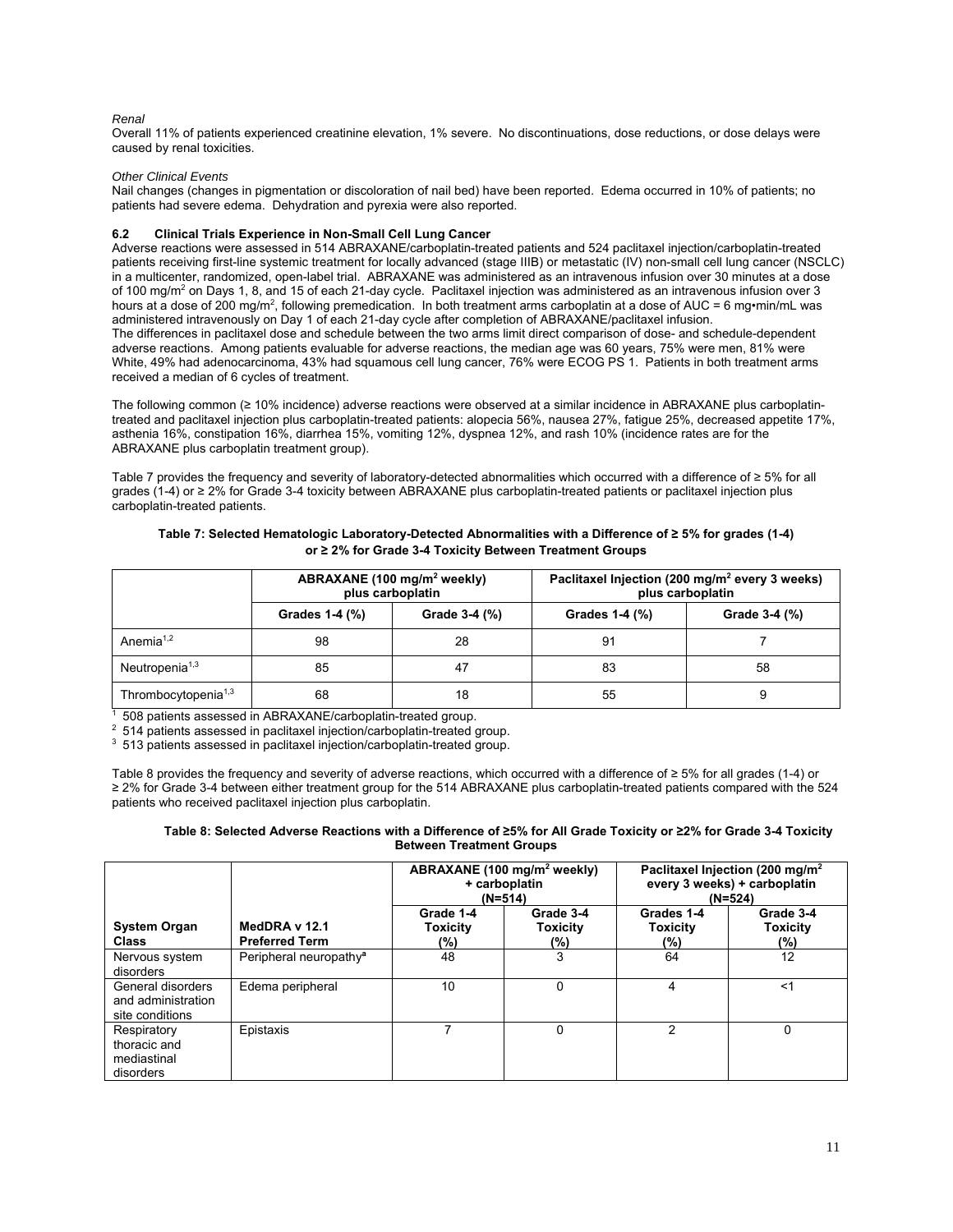# *Renal*

Overall 11% of patients experienced creatinine elevation, 1% severe. No discontinuations, dose reductions, or dose delays were caused by renal toxicities.

# *Other Clinical Events*

Nail changes (changes in pigmentation or discoloration of nail bed) have been reported. Edema occurred in 10% of patients; no patients had severe edema. Dehydration and pyrexia were also reported.

# **6.2 Clinical Trials Experience in Non-Small Cell Lung Cancer**

Adverse reactions were assessed in 514 ABRAXANE/carboplatin-treated patients and 524 paclitaxel injection/carboplatin-treated patients receiving first-line systemic treatment for locally advanced (stage IIIB) or metastatic (IV) non-small cell lung cancer (NSCLC) in a multicenter, randomized, open-label trial. ABRAXANE was administered as an intravenous infusion over 30 minutes at a dose of 100 mg/m<sup>2</sup> on Days 1, 8, and 15 of each 21-day cycle. Paclitaxel injection was administered as an intravenous infusion over 3 hours at a dose of 200 mg/m<sup>2</sup>, following premedication. In both treatment arms carboplatin at a dose of AUC = 6 mg•min/mL was administered intravenously on Day 1 of each 21-day cycle after completion of ABRAXANE/paclitaxel infusion. The differences in paclitaxel dose and schedule between the two arms limit direct comparison of dose- and schedule-dependent adverse reactions. Among patients evaluable for adverse reactions, the median age was 60 years, 75% were men, 81% were White, 49% had adenocarcinoma, 43% had squamous cell lung cancer, 76% were ECOG PS 1. Patients in both treatment arms received a median of 6 cycles of treatment.

The following common (≥ 10% incidence) adverse reactions were observed at a similar incidence in ABRAXANE plus carboplatintreated and paclitaxel injection plus carboplatin-treated patients: alopecia 56%, nausea 27%, fatigue 25%, decreased appetite 17%, asthenia 16%, constipation 16%, diarrhea 15%, vomiting 12%, dyspnea 12%, and rash 10% (incidence rates are for the ABRAXANE plus carboplatin treatment group).

Table 7 provides the frequency and severity of laboratory-detected abnormalities which occurred with a difference of ≥ 5% for all grades (1-4) or ≥ 2% for Grade 3-4 toxicity between ABRAXANE plus carboplatin-treated patients or paclitaxel injection plus carboplatin-treated patients.

# **Table 7: Selected Hematologic Laboratory-Detected Abnormalities with a Difference of ≥ 5% for grades (1-4) or ≥ 2% for Grade 3-4 Toxicity Between Treatment Groups**

|                                 |                | ABRAXANE (100 mg/m <sup>2</sup> weekly)<br>plus carboplatin | Paclitaxel Injection (200 mg/m <sup>2</sup> every 3 weeks)<br>plus carboplatin |               |  |
|---------------------------------|----------------|-------------------------------------------------------------|--------------------------------------------------------------------------------|---------------|--|
|                                 | Grades 1-4 (%) | Grade 3-4 (%)<br>Grades 1-4 (%)                             |                                                                                | Grade 3-4 (%) |  |
| Anemia <sup>1,2</sup>           | 98             | 28                                                          | 91                                                                             |               |  |
| Neutropenia <sup>1,3</sup>      | 85             | 47                                                          | 83                                                                             | 58            |  |
| Thrombocytopenia <sup>1,3</sup> | 68             | 18                                                          | 55                                                                             |               |  |

 $\frac{1}{1}$  508 patients assessed in ABRAXANE/carboplatin-treated group.<br>
2 514 patients assessed in paclitaxel injection/carboplatin-treated group.<br>
3 513 patients assessed in paclitaxel injection/carboplatin-treated group

Table 8 provides the frequency and severity of adverse reactions, which occurred with a difference of ≥ 5% for all grades (1-4) or ≥ 2% for Grade 3-4 between either treatment group for the 514 ABRAXANE plus carboplatin-treated patients compared with the 524 patients who received paclitaxel injection plus carboplatin.

#### **Table 8: Selected Adverse Reactions with a Difference of ≥5% for All Grade Toxicity or ≥2% for Grade 3-4 Toxicity Between Treatment Groups**

|                                                            |                                        |                              | ABRAXANE (100 mg/m <sup>2</sup> weekly)<br>+ carboplatin<br>$(N=514)$ | Paclitaxel Injection (200 mg/m <sup>2</sup><br>every 3 weeks) + carboplatin<br>$(N=524)$ |                                        |
|------------------------------------------------------------|----------------------------------------|------------------------------|-----------------------------------------------------------------------|------------------------------------------------------------------------------------------|----------------------------------------|
| <b>System Organ</b><br><b>Class</b>                        | MedDRA v 12.1<br><b>Preferred Term</b> | Grade 1-4<br>Toxicity<br>(%) | Grade 3-4<br><b>Toxicity</b><br>(%)                                   | Grades 1-4<br><b>Toxicity</b><br>(%)                                                     | Grade 3-4<br><b>Toxicity</b><br>$(\%)$ |
| Nervous system<br>disorders                                | Peripheral neuropathy <sup>a</sup>     | 48                           | 3                                                                     | 64                                                                                       | 12                                     |
| General disorders<br>and administration<br>site conditions | Edema peripheral                       | 10                           | 0                                                                     | 4                                                                                        | <1                                     |
| Respiratory<br>thoracic and<br>mediastinal<br>disorders    | Epistaxis                              |                              | $\Omega$                                                              | 2                                                                                        | $\Omega$                               |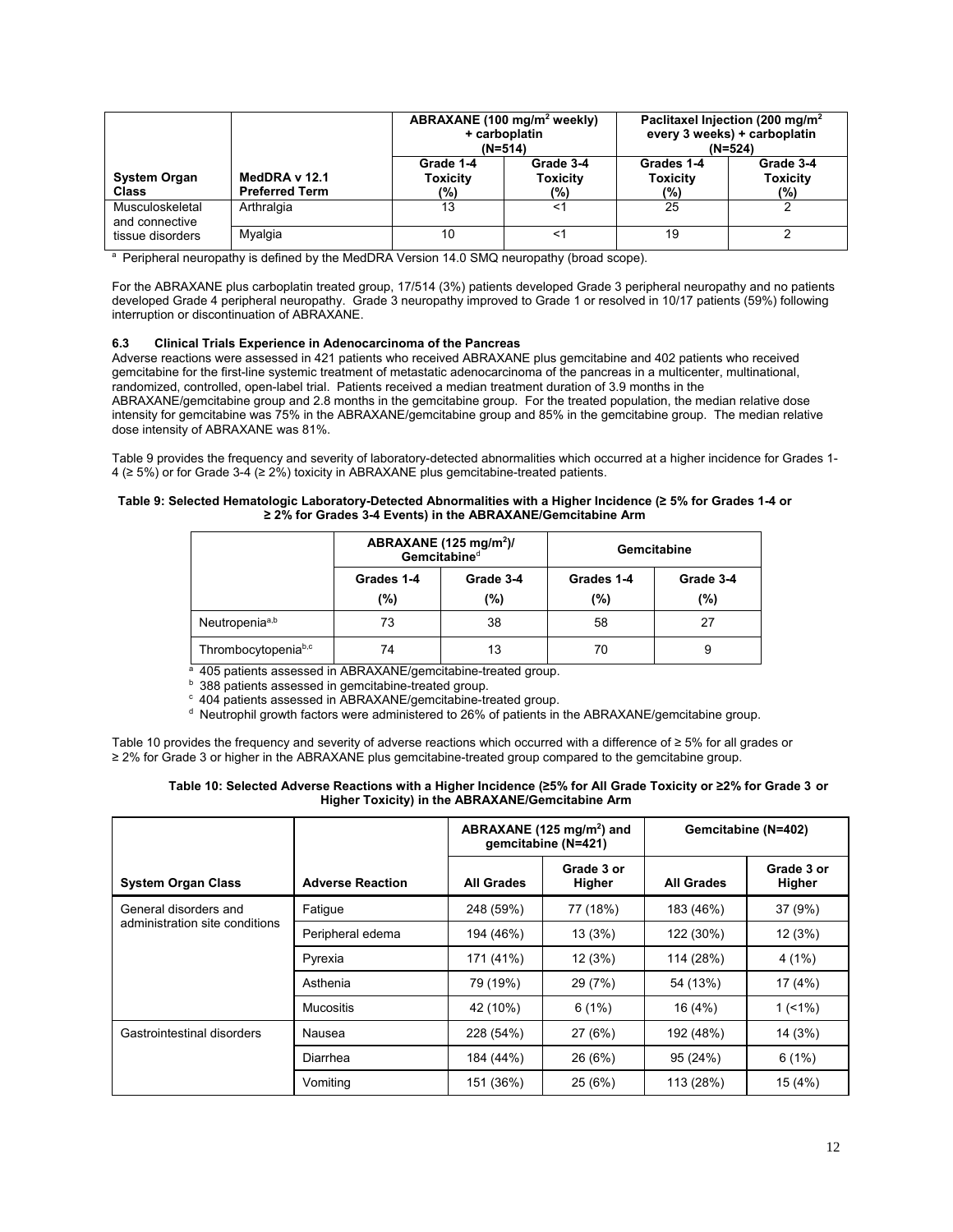|                                                       |                                        | + carboplatin<br>$(N=514)$          | ABRAXANE (100 mg/m <sup>2</sup> weekly) | Paclitaxel Injection (200 mg/m <sup>2</sup><br>every 3 weeks) + carboplatin<br>$(N=524)$ |                                     |
|-------------------------------------------------------|----------------------------------------|-------------------------------------|-----------------------------------------|------------------------------------------------------------------------------------------|-------------------------------------|
| <b>System Organ</b><br>Class                          | MedDRA v 12.1<br><b>Preferred Term</b> | Grade 1-4<br><b>Toxicity</b><br>(%) | Grade 3-4<br><b>Toxicity</b><br>(%)     | Grades 1-4<br><b>Toxicity</b><br>(%)                                                     | Grade 3-4<br><b>Toxicity</b><br>(%) |
| Musculoskeletal<br>and connective<br>tissue disorders | Arthralgia                             | 13                                  | <1                                      | 25                                                                                       |                                     |
|                                                       | Myalgia                                | 10                                  | <1                                      | 19                                                                                       |                                     |

<sup>a</sup> Peripheral neuropathy is defined by the MedDRA Version 14.0 SMQ neuropathy (broad scope).

For the ABRAXANE plus carboplatin treated group, 17/514 (3%) patients developed Grade 3 peripheral neuropathy and no patients developed Grade 4 peripheral neuropathy. Grade 3 neuropathy improved to Grade 1 or resolved in 10/17 patients (59%) following interruption or discontinuation of ABRAXANE.

# **6.3 Clinical Trials Experience in Adenocarcinoma of the Pancreas**

Adverse reactions were assessed in 421 patients who received ABRAXANE plus gemcitabine and 402 patients who received gemcitabine for the first-line systemic treatment of metastatic adenocarcinoma of the pancreas in a multicenter, multinational, randomized, controlled, open-label trial. Patients received a median treatment duration of 3.9 months in the ABRAXANE/gemcitabine group and 2.8 months in the gemcitabine group. For the treated population, the median relative dose intensity for gemcitabine was 75% in the ABRAXANE/gemcitabine group and 85% in the gemcitabine group. The median relative dose intensity of ABRAXANE was 81%.

Table 9 provides the frequency and severity of laboratory-detected abnormalities which occurred at a higher incidence for Grades 1- 4 (≥ 5%) or for Grade 3-4 (≥ 2%) toxicity in ABRAXANE plus gemcitabine-treated patients.

# **Table 9: Selected Hematologic Laboratory-Detected Abnormalities with a Higher Incidence (≥ 5% for Grades 1-4 or ≥ 2% for Grades 3-4 Events) in the ABRAXANE/Gemcitabine Arm**

|                     | ABRAXANE (125 mg/m <sup>2</sup> )/<br>Gemcitabined |                  | Gemcitabine       |                  |  |
|---------------------|----------------------------------------------------|------------------|-------------------|------------------|--|
|                     | Grades 1-4<br>(%)                                  | Grade 3-4<br>(%) | Grades 1-4<br>(%) | Grade 3-4<br>(%) |  |
| Neutropeniaa,b      | 73                                                 | 38               | 58                | 27               |  |
| Thrombocytopeniab,c | 74                                                 | 13               | 70                | 9                |  |

a 405 patients assessed in ABRAXANE/gemcitabine-treated group.<br>
b 388 patients assessed in gemcitabine-treated group.<br>
c 404 patients assessed in ABRAXANE/gemcitabine-treated group.<br>
d Neutrophil growth factors were admin

Table 10 provides the frequency and severity of adverse reactions which occurred with a difference of ≥ 5% for all grades or ≥ 2% for Grade 3 or higher in the ABRAXANE plus gemcitabine-treated group compared to the gemcitabine group.

| Table 10: Selected Adverse Reactions with a Higher Incidence (≥5% for All Grade Toxicity or ≥2% for Grade 3 or |
|----------------------------------------------------------------------------------------------------------------|
| Higher Toxicity) in the ABRAXANE/Gemcitabine Arm                                                               |

|                                |                         | ABRAXANE (125 mg/m <sup>2</sup> ) and<br>gemcitabine (N=421) |                      | Gemcitabine (N=402) |                      |
|--------------------------------|-------------------------|--------------------------------------------------------------|----------------------|---------------------|----------------------|
| <b>System Organ Class</b>      | <b>Adverse Reaction</b> | <b>All Grades</b>                                            | Grade 3 or<br>Higher | All Grades          | Grade 3 or<br>Higher |
| General disorders and          | Fatigue                 | 248 (59%)                                                    | 77 (18%)             | 183 (46%)           | 37(9%)               |
| administration site conditions | Peripheral edema        | 194 (46%)                                                    | 13(3%)               | 122 (30%)           | 12(3%)               |
|                                | Pyrexia                 | 171 (41%)                                                    | 12(3%)               | 114 (28%)           | 4(1%)                |
|                                | Asthenia                | 79 (19%)                                                     | 29 (7%)              | 54 (13%)            | 17 (4%)              |
|                                | <b>Mucositis</b>        | 42 (10%)                                                     | 6(1%)                | 16 (4%)             | $1(1\%)$             |
| Gastrointestinal disorders     | Nausea                  | 228 (54%)                                                    | 27(6%)               | 192 (48%)           | 14 (3%)              |
|                                | Diarrhea                | 184 (44%)                                                    | 26 (6%)              | 95 (24%)            | 6(1%)                |
|                                | Vomiting                | 151 (36%)                                                    | 25(6%)               | 113 (28%)           | 15 (4%)              |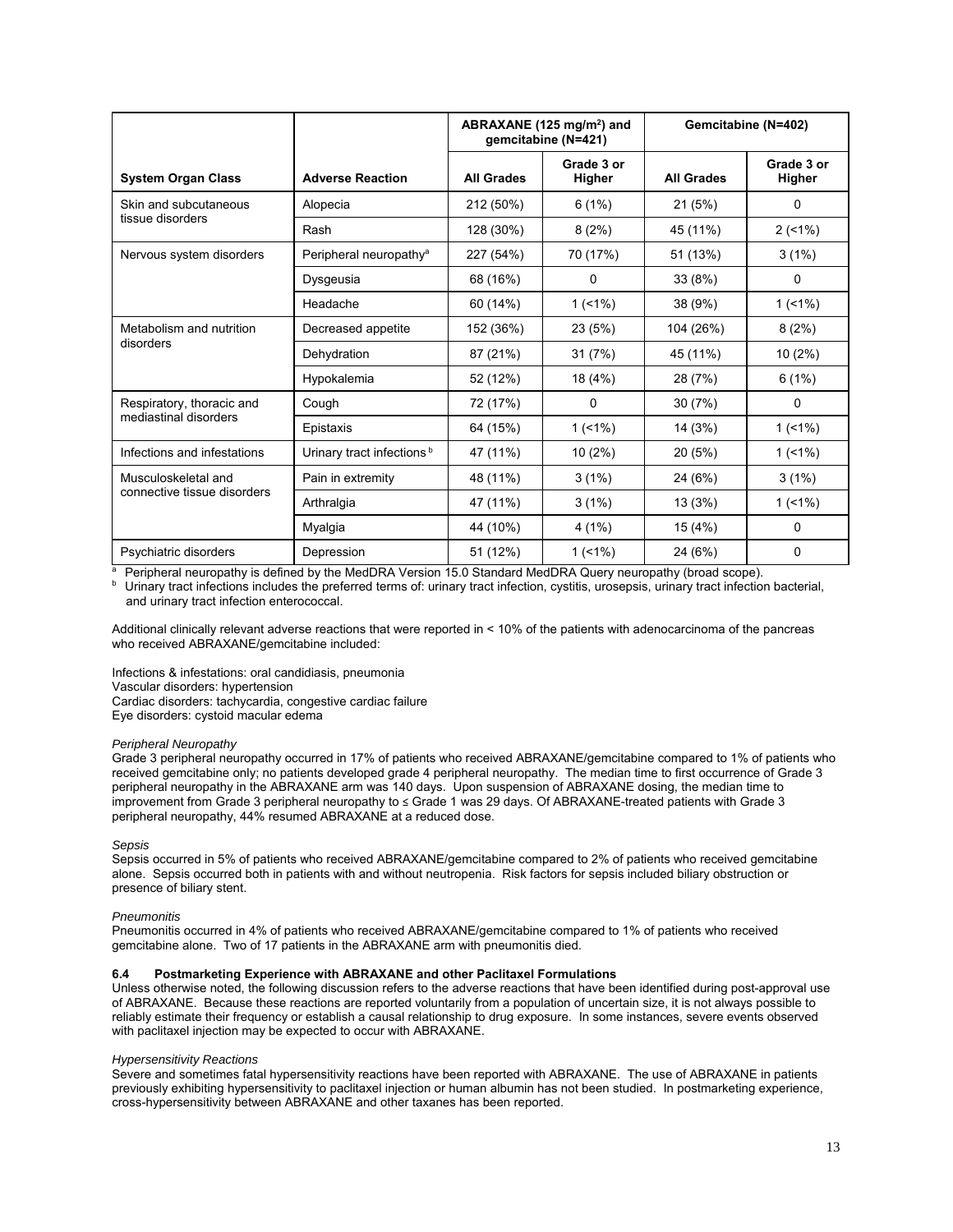|                             |                                       | ABRAXANE (125 mg/m <sup>2</sup> ) and<br>gemcitabine (N=421) |                      | Gemcitabine (N=402) |                      |
|-----------------------------|---------------------------------------|--------------------------------------------------------------|----------------------|---------------------|----------------------|
| <b>System Organ Class</b>   | <b>Adverse Reaction</b>               | <b>All Grades</b>                                            | Grade 3 or<br>Higher | <b>All Grades</b>   | Grade 3 or<br>Higher |
| Skin and subcutaneous       | Alopecia                              | 212 (50%)                                                    | 6(1%)                | 21(5%)              | 0                    |
| tissue disorders            | Rash                                  | 128 (30%)                                                    | 8(2%)                | 45 (11%)            | 2(1%)                |
| Nervous system disorders    | Peripheral neuropathy <sup>a</sup>    | 227 (54%)                                                    | 70 (17%)             | 51 (13%)            | 3(1%)                |
|                             | Dysgeusia                             | 68 (16%)                                                     | $\mathbf{0}$         | 33 (8%)             | $\mathbf{0}$         |
|                             | Headache                              | 60 (14%)                                                     | $1(1\%)$             | 38 (9%)             | $1(1\%)$             |
| Metabolism and nutrition    | Decreased appetite                    | 152 (36%)                                                    | 23 (5%)              | 104 (26%)           | 8(2%)                |
| disorders                   | Dehydration                           | 87 (21%)                                                     | 31(7%)               | 45 (11%)            | $10(2\%)$            |
|                             | Hypokalemia                           | 52 (12%)                                                     | 18 (4%)              | 28 (7%)             | 6(1%)                |
| Respiratory, thoracic and   | Cough                                 | 72 (17%)                                                     | $\mathbf{0}$         | 30 (7%)             | $\mathbf{0}$         |
| mediastinal disorders       | Epistaxis                             | 64 (15%)                                                     | $1(1\%)$             | 14 (3%)             | $1(1\%)$             |
| Infections and infestations | Urinary tract infections <sup>b</sup> | 47 (11%)                                                     | $10(2\%)$            | 20 (5%)             | $1(1\%)$             |
| Musculoskeletal and         | Pain in extremity                     | 48 (11%)                                                     | 3(1%)                | 24 (6%)             | 3(1%)                |
| connective tissue disorders | Arthralgia                            | 47 (11%)                                                     | 3(1%)                | 13 (3%)             | $1(1\%)$             |
|                             | Myalgia                               | 44 (10%)                                                     | 4(1%)                | 15 (4%)             | 0                    |
| Psychiatric disorders       | Depression                            | 51 (12%)                                                     | $1(1\%)$             | 24 (6%)             | 0                    |

<sup>a</sup> Peripheral neuropathy is defined by the MedDRA Version 15.0 Standard MedDRA Query neuropathy (broad scope).<br><sup>b</sup> Urinary tract infections includes the preferred terms of: urinary tract infection, cystitis, urosepsis, ur and urinary tract infection enterococcal.

Additional clinically relevant adverse reactions that were reported in < 10% of the patients with adenocarcinoma of the pancreas who received ABRAXANE/gemcitabine included:

Infections & infestations: oral candidiasis, pneumonia Vascular disorders: hypertension

Cardiac disorders: tachycardia, congestive cardiac failure

Eye disorders: cystoid macular edema

#### *Peripheral Neuropathy*

Grade 3 peripheral neuropathy occurred in 17% of patients who received ABRAXANE/gemcitabine compared to 1% of patients who received gemcitabine only; no patients developed grade 4 peripheral neuropathy. The median time to first occurrence of Grade 3 peripheral neuropathy in the ABRAXANE arm was 140 days. Upon suspension of ABRAXANE dosing, the median time to improvement from Grade 3 peripheral neuropathy to ≤ Grade 1 was 29 days. Of ABRAXANE-treated patients with Grade 3 peripheral neuropathy, 44% resumed ABRAXANE at a reduced dose.

#### *Sepsis*

Sepsis occurred in 5% of patients who received ABRAXANE/gemcitabine compared to 2% of patients who received gemcitabine alone. Sepsis occurred both in patients with and without neutropenia. Risk factors for sepsis included biliary obstruction or presence of biliary stent.

#### *Pneumonitis*

Pneumonitis occurred in 4% of patients who received ABRAXANE/gemcitabine compared to 1% of patients who received gemcitabine alone. Two of 17 patients in the ABRAXANE arm with pneumonitis died.

# **6.4 Postmarketing Experience with ABRAXANE and other Paclitaxel Formulations**

Unless otherwise noted, the following discussion refers to the adverse reactions that have been identified during post-approval use of ABRAXANE. Because these reactions are reported voluntarily from a population of uncertain size, it is not always possible to reliably estimate their frequency or establish a causal relationship to drug exposure. In some instances, severe events observed with paclitaxel injection may be expected to occur with ABRAXANE.

### *Hypersensitivity Reactions*

Severe and sometimes fatal hypersensitivity reactions have been reported with ABRAXANE. The use of ABRAXANE in patients previously exhibiting hypersensitivity to paclitaxel injection or human albumin has not been studied. In postmarketing experience, cross-hypersensitivity between ABRAXANE and other taxanes has been reported.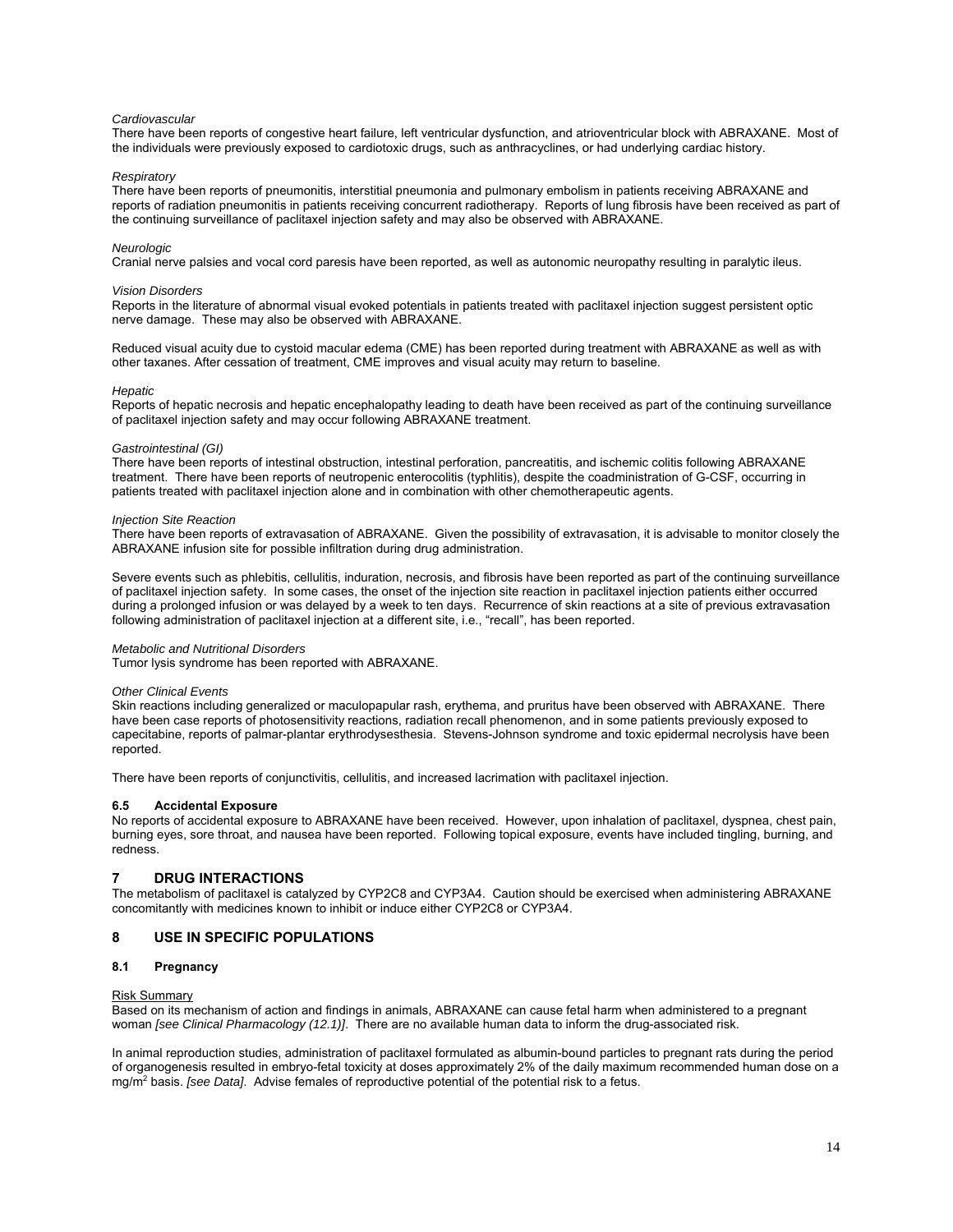#### *Cardiovascular*

There have been reports of congestive heart failure, left ventricular dysfunction, and atrioventricular block with ABRAXANE. Most of the individuals were previously exposed to cardiotoxic drugs, such as anthracyclines, or had underlying cardiac history.

#### *Respiratory*

There have been reports of pneumonitis, interstitial pneumonia and pulmonary embolism in patients receiving ABRAXANE and reports of radiation pneumonitis in patients receiving concurrent radiotherapy. Reports of lung fibrosis have been received as part of the continuing surveillance of paclitaxel injection safety and may also be observed with ABRAXANE.

#### *Neurologic*

Cranial nerve palsies and vocal cord paresis have been reported, as well as autonomic neuropathy resulting in paralytic ileus.

#### *Vision Disorders*

Reports in the literature of abnormal visual evoked potentials in patients treated with paclitaxel injection suggest persistent optic nerve damage. These may also be observed with ABRAXANE.

Reduced visual acuity due to cystoid macular edema (CME) has been reported during treatment with ABRAXANE as well as with other taxanes. After cessation of treatment, CME improves and visual acuity may return to baseline.

#### *Hepatic*

Reports of hepatic necrosis and hepatic encephalopathy leading to death have been received as part of the continuing surveillance of paclitaxel injection safety and may occur following ABRAXANE treatment.

#### *Gastrointestinal (GI)*

There have been reports of intestinal obstruction, intestinal perforation, pancreatitis, and ischemic colitis following ABRAXANE treatment. There have been reports of neutropenic enterocolitis (typhlitis), despite the coadministration of G-CSF, occurring in patients treated with paclitaxel injection alone and in combination with other chemotherapeutic agents.

#### *Injection Site Reaction*

There have been reports of extravasation of ABRAXANE. Given the possibility of extravasation, it is advisable to monitor closely the ABRAXANE infusion site for possible infiltration during drug administration.

Severe events such as phlebitis, cellulitis, induration, necrosis, and fibrosis have been reported as part of the continuing surveillance of paclitaxel injection safety. In some cases, the onset of the injection site reaction in paclitaxel injection patients either occurred during a prolonged infusion or was delayed by a week to ten days. Recurrence of skin reactions at a site of previous extravasation following administration of paclitaxel injection at a different site, i.e., "recall", has been reported.

### *Metabolic and Nutritional Disorders*

Tumor lysis syndrome has been reported with ABRAXANE.

#### *Other Clinical Events*

Skin reactions including generalized or maculopapular rash, erythema, and pruritus have been observed with ABRAXANE. There have been case reports of photosensitivity reactions, radiation recall phenomenon, and in some patients previously exposed to capecitabine, reports of palmar-plantar erythrodysesthesia. Stevens-Johnson syndrome and toxic epidermal necrolysis have been reported.

There have been reports of conjunctivitis, cellulitis, and increased lacrimation with paclitaxel injection.

### **6.5 Accidental Exposure**

No reports of accidental exposure to ABRAXANE have been received. However, upon inhalation of paclitaxel, dyspnea, chest pain, burning eyes, sore throat, and nausea have been reported. Following topical exposure, events have included tingling, burning, and redness.

# **7 DRUG INTERACTIONS**

The metabolism of paclitaxel is catalyzed by CYP2C8 and CYP3A4. Caution should be exercised when administering ABRAXANE concomitantly with medicines known to inhibit or induce either CYP2C8 or CYP3A4.

# **8 USE IN SPECIFIC POPULATIONS**

#### **8.1 Pregnancy**

#### Risk Summary

Based on its mechanism of action and findings in animals, ABRAXANE can cause fetal harm when administered to a pregnant woman *[see Clinical Pharmacology (12.1)]*. There are no available human data to inform the drug-associated risk.

In animal reproduction studies, administration of paclitaxel formulated as albumin-bound particles to pregnant rats during the period of organogenesis resulted in embryo-fetal toxicity at doses approximately 2% of the daily maximum recommended human dose on a mg/m2 basis. *[see Data]*. Advise females of reproductive potential of the potential risk to a fetus.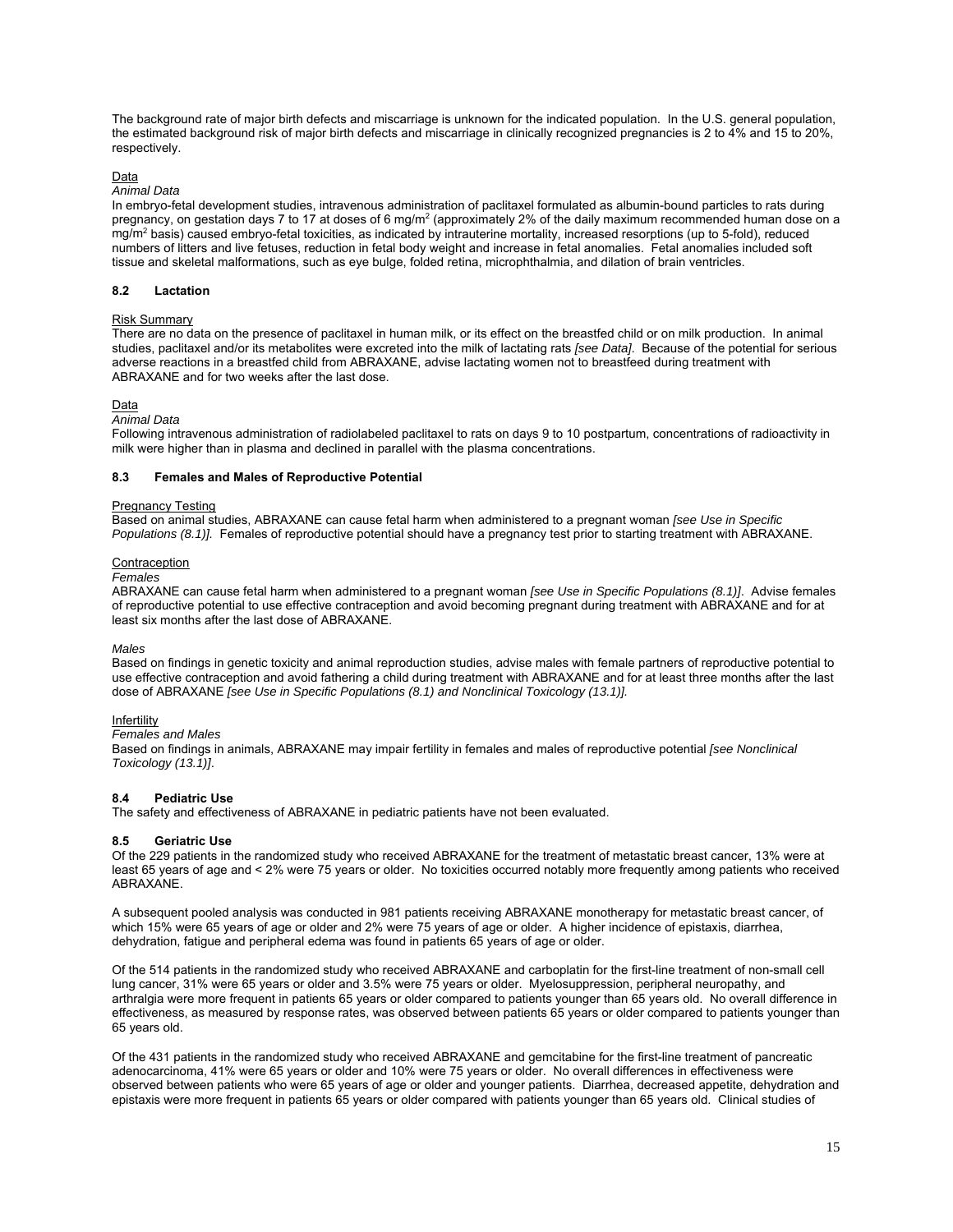The background rate of major birth defects and miscarriage is unknown for the indicated population. In the U.S. general population, the estimated background risk of major birth defects and miscarriage in clinically recognized pregnancies is 2 to 4% and 15 to 20%, respectively.

# Data

# *Animal Data*

In embryo-fetal development studies, intravenous administration of paclitaxel formulated as albumin-bound particles to rats during pregnancy, on gestation days 7 to 17 at doses of 6 mg/m<sup>2</sup> (approximately 2% of the daily maximum recommended human dose on a mg/m<sup>2</sup> basis) caused embryo-fetal toxicities, as indicated by intrauterine mortality, increased resorptions (up to 5-fold), reduced numbers of litters and live fetuses, reduction in fetal body weight and increase in fetal anomalies. Fetal anomalies included soft tissue and skeletal malformations, such as eye bulge, folded retina, microphthalmia, and dilation of brain ventricles.

### **8.2 Lactation**

#### Risk Summary

There are no data on the presence of paclitaxel in human milk, or its effect on the breastfed child or on milk production. In animal studies, paclitaxel and/or its metabolites were excreted into the milk of lactating rats *[see Data]*. Because of the potential for serious adverse reactions in a breastfed child from ABRAXANE, advise lactating women not to breastfeed during treatment with ABRAXANE and for two weeks after the last dose.

#### Data

# *Animal Data*

Following intravenous administration of radiolabeled paclitaxel to rats on days 9 to 10 postpartum, concentrations of radioactivity in milk were higher than in plasma and declined in parallel with the plasma concentrations.

# **8.3 Females and Males of Reproductive Potential**

# Pregnancy Testing

Based on animal studies, ABRAXANE can cause fetal harm when administered to a pregnant woman *[see Use in Specific Populations (8.1)].* Females of reproductive potential should have a pregnancy test prior to starting treatment with ABRAXANE.

#### Contraception

#### *Females*

ABRAXANE can cause fetal harm when administered to a pregnant woman *[see Use in Specific Populations (8.1)]*. Advise females of reproductive potential to use effective contraception and avoid becoming pregnant during treatment with ABRAXANE and for at least six months after the last dose of ABRAXANE.

#### *Males*

Based on findings in genetic toxicity and animal reproduction studies, advise males with female partners of reproductive potential to use effective contraception and avoid fathering a child during treatment with ABRAXANE and for at least three months after the last dose of ABRAXANE *[see Use in Specific Populations (8.1) and Nonclinical Toxicology (13.1)].*

#### Infertility

# *Females and Males*

Based on findings in animals, ABRAXANE may impair fertility in females and males of reproductive potential *[see Nonclinical Toxicology (13.1)]*.

# **8.4 Pediatric Use**

The safety and effectiveness of ABRAXANE in pediatric patients have not been evaluated.

# **8.5 Geriatric Use**

Of the 229 patients in the randomized study who received ABRAXANE for the treatment of metastatic breast cancer, 13% were at least 65 years of age and < 2% were 75 years or older. No toxicities occurred notably more frequently among patients who received ABRAXANE.

A subsequent pooled analysis was conducted in 981 patients receiving ABRAXANE monotherapy for metastatic breast cancer, of which 15% were 65 years of age or older and 2% were 75 years of age or older. A higher incidence of epistaxis, diarrhea, dehydration, fatigue and peripheral edema was found in patients 65 years of age or older.

Of the 514 patients in the randomized study who received ABRAXANE and carboplatin for the first-line treatment of non-small cell lung cancer, 31% were 65 years or older and 3.5% were 75 years or older. Myelosuppression, peripheral neuropathy, and arthralgia were more frequent in patients 65 years or older compared to patients younger than 65 years old. No overall difference in effectiveness, as measured by response rates, was observed between patients 65 years or older compared to patients younger than 65 years old.

Of the 431 patients in the randomized study who received ABRAXANE and gemcitabine for the first-line treatment of pancreatic adenocarcinoma, 41% were 65 years or older and 10% were 75 years or older. No overall differences in effectiveness were observed between patients who were 65 years of age or older and younger patients. Diarrhea, decreased appetite, dehydration and epistaxis were more frequent in patients 65 years or older compared with patients younger than 65 years old. Clinical studies of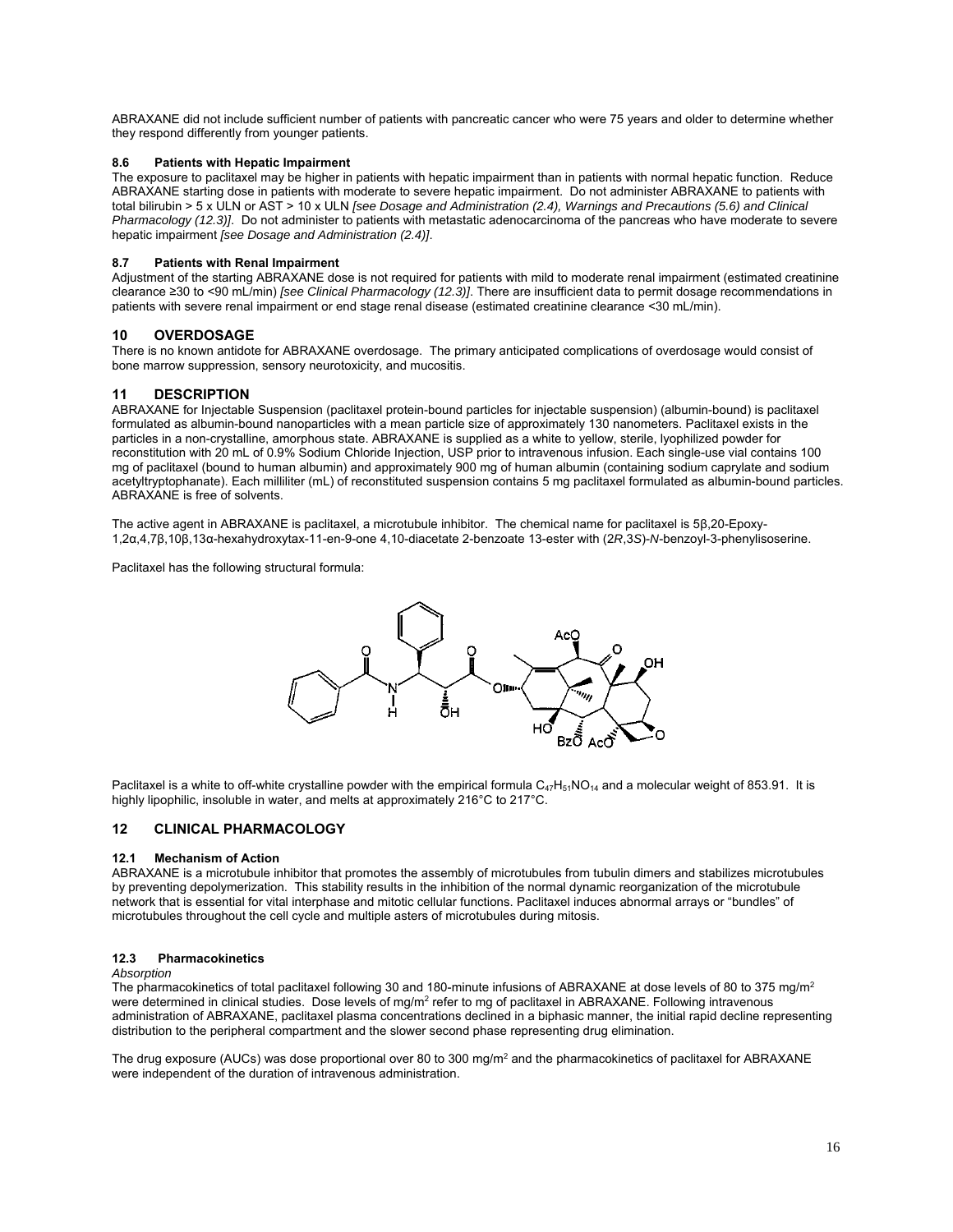ABRAXANE did not include sufficient number of patients with pancreatic cancer who were 75 years and older to determine whether they respond differently from younger patients.

# **8.6 Patients with Hepatic Impairment**

The exposure to paclitaxel may be higher in patients with hepatic impairment than in patients with normal hepatic function. Reduce ABRAXANE starting dose in patients with moderate to severe hepatic impairment. Do not administer ABRAXANE to patients with total bilirubin > 5 x ULN or AST > 10 x ULN *[see Dosage and Administration (2.4), Warnings and Precautions (5.6) and Clinical Pharmacology (12.3)]*. Do not administer to patients with metastatic adenocarcinoma of the pancreas who have moderate to severe hepatic impairment *[see Dosage and Administration (2.4)]*.

# **8.7 Patients with Renal Impairment**

Adjustment of the starting ABRAXANE dose is not required for patients with mild to moderate renal impairment (estimated creatinine clearance ≥30 to <90 mL/min) *[see Clinical Pharmacology (12.3)]*. There are insufficient data to permit dosage recommendations in patients with severe renal impairment or end stage renal disease (estimated creatinine clearance <30 mL/min).

# **10 OVERDOSAGE**

There is no known antidote for ABRAXANE overdosage. The primary anticipated complications of overdosage would consist of bone marrow suppression, sensory neurotoxicity, and mucositis.

# **11 DESCRIPTION**

ABRAXANE for Injectable Suspension (paclitaxel protein-bound particles for injectable suspension) (albumin-bound) is paclitaxel formulated as albumin-bound nanoparticles with a mean particle size of approximately 130 nanometers. Paclitaxel exists in the particles in a non-crystalline, amorphous state. ABRAXANE is supplied as a white to yellow, sterile, lyophilized powder for reconstitution with 20 mL of 0.9% Sodium Chloride Injection, USP prior to intravenous infusion. Each single-use vial contains 100 mg of paclitaxel (bound to human albumin) and approximately 900 mg of human albumin (containing sodium caprylate and sodium acetyltryptophanate). Each milliliter (mL) of reconstituted suspension contains 5 mg paclitaxel formulated as albumin-bound particles. ABRAXANE is free of solvents.

The active agent in ABRAXANE is paclitaxel, a microtubule inhibitor. The chemical name for paclitaxel is 5β,20-Epoxy-1,2α,4,7β,10β,13α-hexahydroxytax-11-en-9-one 4,10-diacetate 2-benzoate 13-ester with (2*R*,3*S*)-*N*-benzoyl-3-phenylisoserine.

Paclitaxel has the following structural formula:



Paclitaxel is a white to off-white crystalline powder with the empirical formula  $C_{47}H_{51}NO_{14}$  and a molecular weight of 853.91. It is highly lipophilic, insoluble in water, and melts at approximately 216°C to 217°C.

# **12 CLINICAL PHARMACOLOGY**

# **12.1 Mechanism of Action**

ABRAXANE is a microtubule inhibitor that promotes the assembly of microtubules from tubulin dimers and stabilizes microtubules by preventing depolymerization. This stability results in the inhibition of the normal dynamic reorganization of the microtubule network that is essential for vital interphase and mitotic cellular functions. Paclitaxel induces abnormal arrays or "bundles" of microtubules throughout the cell cycle and multiple asters of microtubules during mitosis.

# **12.3 Pharmacokinetics**

#### *Absorption*

The pharmacokinetics of total paclitaxel following 30 and 180-minute infusions of ABRAXANE at dose levels of 80 to 375 mg/m<sup>2</sup> were determined in clinical studies. Dose levels of mg/m<sup>2</sup> refer to mg of paclitaxel in ABRAXANE. Following intravenous administration of ABRAXANE, paclitaxel plasma concentrations declined in a biphasic manner, the initial rapid decline representing distribution to the peripheral compartment and the slower second phase representing drug elimination.

The drug exposure (AUCs) was dose proportional over 80 to 300 mg/m<sup>2</sup> and the pharmacokinetics of paclitaxel for ABRAXANE were independent of the duration of intravenous administration.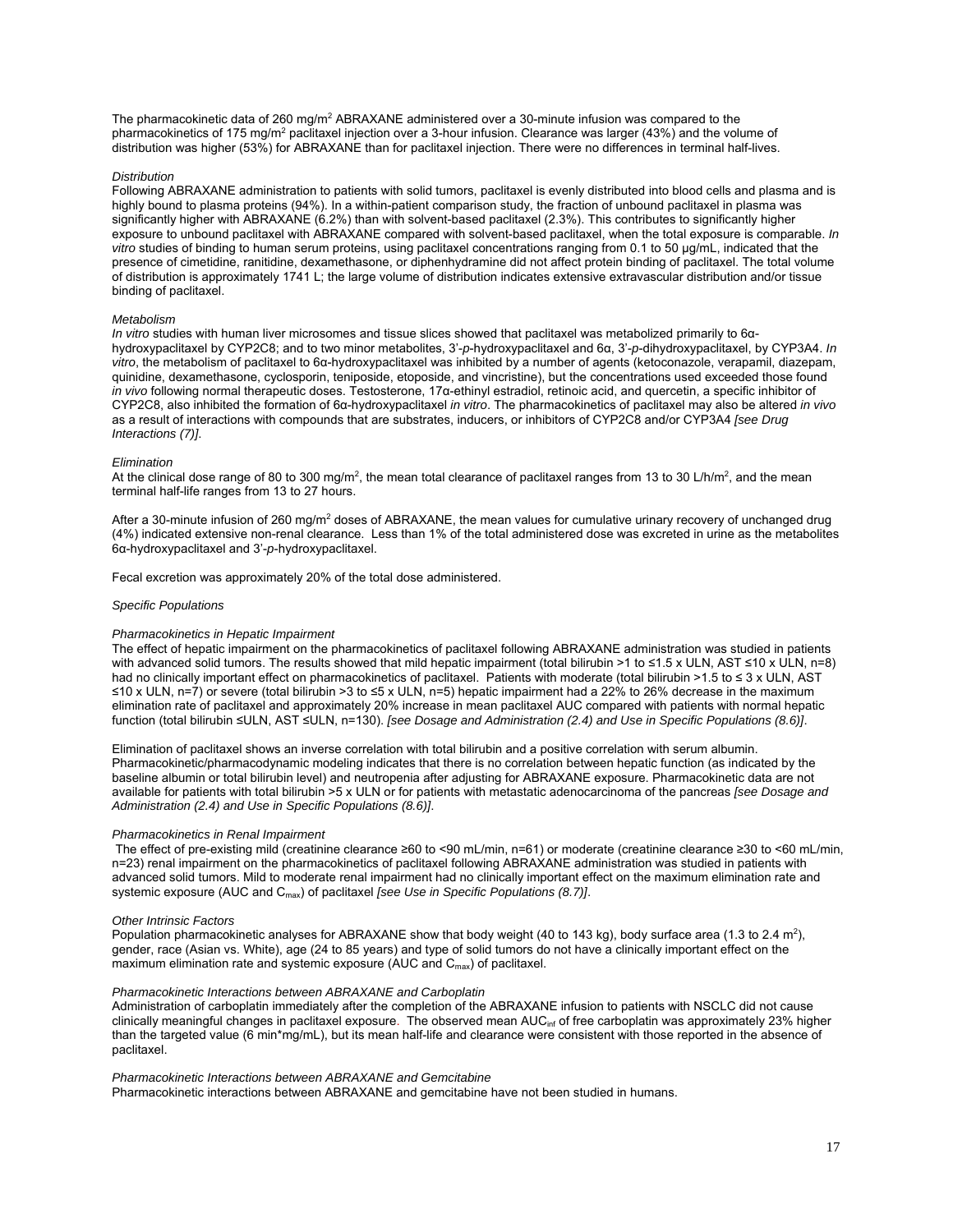The pharmacokinetic data of 260 mg/m<sup>2</sup> ABRAXANE administered over a 30-minute infusion was compared to the pharmacokinetics of 175 mg/m<sup>2</sup> paclitaxel injection over a 3-hour infusion. Clearance was larger (43%) and the volume of distribution was higher (53%) for ABRAXANE than for paclitaxel injection. There were no differences in terminal half-lives.

#### *Distribution*

Following ABRAXANE administration to patients with solid tumors, paclitaxel is evenly distributed into blood cells and plasma and is highly bound to plasma proteins (94%). In a within-patient comparison study, the fraction of unbound paclitaxel in plasma was significantly higher with ABRAXANE (6.2%) than with solvent-based paclitaxel (2.3%). This contributes to significantly higher exposure to unbound paclitaxel with ABRAXANE compared with solvent-based paclitaxel, when the total exposure is comparable. *In vitro* studies of binding to human serum proteins, using paclitaxel concentrations ranging from 0.1 to 50 µg/mL, indicated that the presence of cimetidine, ranitidine, dexamethasone, or diphenhydramine did not affect protein binding of paclitaxel. The total volume of distribution is approximately 1741 L; the large volume of distribution indicates extensive extravascular distribution and/or tissue binding of paclitaxel.

#### *Metabolism*

*In vitro* studies with human liver microsomes and tissue slices showed that paclitaxel was metabolized primarily to 6αhydroxypaclitaxel by CYP2C8; and to two minor metabolites, 3'-*p*-hydroxypaclitaxel and 6α, 3'-*p*-dihydroxypaclitaxel, by CYP3A4. *In vitro*, the metabolism of paclitaxel to 6α-hydroxypaclitaxel was inhibited by a number of agents (ketoconazole, verapamil, diazepam, quinidine, dexamethasone, cyclosporin, teniposide, etoposide, and vincristine), but the concentrations used exceeded those found *in vivo* following normal therapeutic doses. Testosterone, 17α-ethinyl estradiol, retinoic acid, and quercetin, a specific inhibitor of CYP2C8, also inhibited the formation of 6α-hydroxypaclitaxel *in vitro*. The pharmacokinetics of paclitaxel may also be altered *in vivo* as a result of interactions with compounds that are substrates, inducers, or inhibitors of CYP2C8 and/or CYP3A4 *[see Drug Interactions (7)]*.

#### *Elimination*

At the clinical dose range of 80 to 300 mg/m<sup>2</sup>, the mean total clearance of paclitaxel ranges from 13 to 30 L/h/m<sup>2</sup>, and the mean terminal half-life ranges from 13 to 27 hours.

After a 30-minute infusion of 260 mg/m<sup>2</sup> doses of ABRAXANE, the mean values for cumulative urinary recovery of unchanged drug (4%) indicated extensive non-renal clearance. Less than 1% of the total administered dose was excreted in urine as the metabolites 6α-hydroxypaclitaxel and 3'-*p*-hydroxypaclitaxel.

Fecal excretion was approximately 20% of the total dose administered.

#### *Specific Populations*

#### *Pharmacokinetics in Hepatic Impairment*

The effect of hepatic impairment on the pharmacokinetics of paclitaxel following ABRAXANE administration was studied in patients with advanced solid tumors. The results showed that mild hepatic impairment (total bilirubin >1 to ≤1.5 x ULN, AST ≤10 x ULN, n=8) had no clinically important effect on pharmacokinetics of paclitaxel. Patients with moderate (total bilirubin >1.5 to ≤ 3 x ULN, AST ≤10 x ULN, n=7) or severe (total bilirubin >3 to ≤5 x ULN, n=5) hepatic impairment had a 22% to 26% decrease in the maximum elimination rate of paclitaxel and approximately 20% increase in mean paclitaxel AUC compared with patients with normal hepatic function (total bilirubin ≤ULN, AST ≤ULN, n=130). *[see Dosage and Administration (2.4) and Use in Specific Populations (8.6)]*.

Elimination of paclitaxel shows an inverse correlation with total bilirubin and a positive correlation with serum albumin. Pharmacokinetic/pharmacodynamic modeling indicates that there is no correlation between hepatic function (as indicated by the baseline albumin or total bilirubin level) and neutropenia after adjusting for ABRAXANE exposure. Pharmacokinetic data are not available for patients with total bilirubin >5 x ULN or for patients with metastatic adenocarcinoma of the pancreas *[see Dosage and Administration (2.4) and Use in Specific Populations (8.6)]*.

#### *Pharmacokinetics in Renal Impairment*

 The effect of pre-existing mild (creatinine clearance ≥60 to <90 mL/min, n=61) or moderate (creatinine clearance ≥30 to <60 mL/min, n=23) renal impairment on the pharmacokinetics of paclitaxel following ABRAXANE administration was studied in patients with advanced solid tumors. Mild to moderate renal impairment had no clinically important effect on the maximum elimination rate and systemic exposure (AUC and C<sub>max</sub>) of paclitaxel *[see Use in Specific Populations (8.7)]*.

#### *Other Intrinsic Factors*

Population pharmacokinetic analyses for ABRAXANE show that body weight (40 to 143 kg), body surface area (1.3 to 2.4 m<sup>2</sup>), gender, race (Asian vs. White), age (24 to 85 years) and type of solid tumors do not have a clinically important effect on the maximum elimination rate and systemic exposure (AUC and  $C_{\text{max}}$ ) of paclitaxel.

#### *Pharmacokinetic Interactions between ABRAXANE and Carboplatin*

Administration of carboplatin immediately after the completion of the ABRAXANE infusion to patients with NSCLC did not cause clinically meaningful changes in paclitaxel exposure. The observed mean AUC<sub>inf</sub> of free carboplatin was approximately 23% higher than the targeted value (6 min\*mg/mL), but its mean half-life and clearance were consistent with those reported in the absence of paclitaxel.

# *Pharmacokinetic Interactions between ABRAXANE and Gemcitabine*

Pharmacokinetic interactions between ABRAXANE and gemcitabine have not been studied in humans.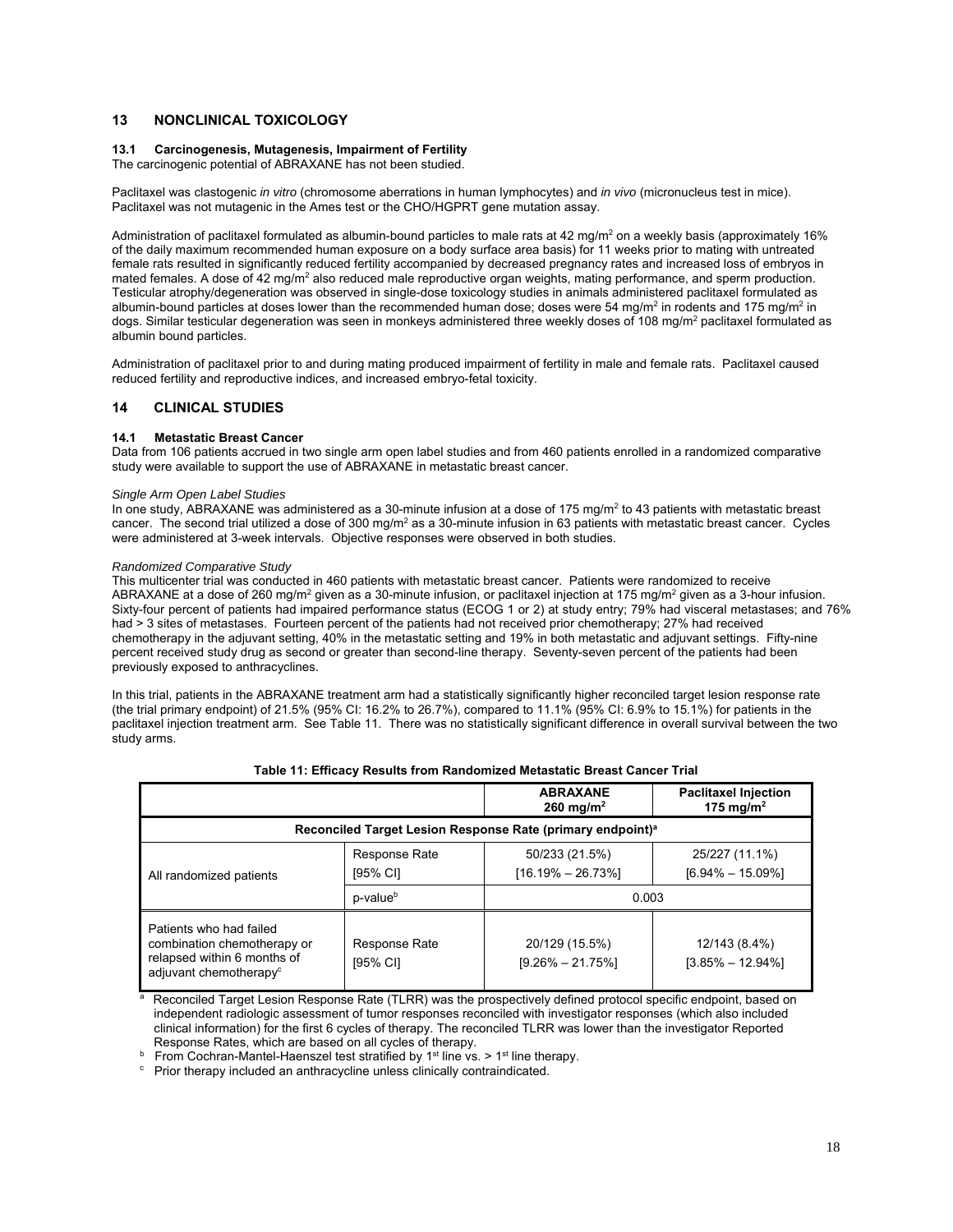# **13 NONCLINICAL TOXICOLOGY**

### **13.1 Carcinogenesis, Mutagenesis, Impairment of Fertility**

The carcinogenic potential of ABRAXANE has not been studied.

Paclitaxel was clastogenic *in vitro* (chromosome aberrations in human lymphocytes) and *in vivo* (micronucleus test in mice). Paclitaxel was not mutagenic in the Ames test or the CHO/HGPRT gene mutation assay.

Administration of paclitaxel formulated as albumin-bound particles to male rats at 42 mg/m<sup>2</sup> on a weekly basis (approximately 16% of the daily maximum recommended human exposure on a body surface area basis) for 11 weeks prior to mating with untreated female rats resulted in significantly reduced fertility accompanied by decreased pregnancy rates and increased loss of embryos in mated females. A dose of 42 mg/m<sup>2</sup> also reduced male reproductive organ weights, mating performance, and sperm production. Testicular atrophy/degeneration was observed in single-dose toxicology studies in animals administered paclitaxel formulated as albumin-bound particles at doses lower than the recommended human dose; doses were 54 mg/m<sup>2</sup> in rodents and 175 mg/m<sup>2</sup> in dogs. Similar testicular degeneration was seen in monkeys administered three weekly doses of 108 mg/m<sup>2</sup> paclitaxel formulated as albumin bound particles.

Administration of paclitaxel prior to and during mating produced impairment of fertility in male and female rats. Paclitaxel caused reduced fertility and reproductive indices, and increased embryo-fetal toxicity.

# **14 CLINICAL STUDIES**

#### **14.1 Metastatic Breast Cancer**

Data from 106 patients accrued in two single arm open label studies and from 460 patients enrolled in a randomized comparative study were available to support the use of ABRAXANE in metastatic breast cancer.

### *Single Arm Open Label Studies*

In one study, ABRAXANE was administered as a 30-minute infusion at a dose of 175 mg/m<sup>2</sup> to 43 patients with metastatic breast cancer. The second trial utilized a dose of 300 mg/m<sup>2</sup> as a 30-minute infusion in 63 patients with metastatic breast cancer. Cycles were administered at 3-week intervals. Objective responses were observed in both studies.

#### *Randomized Comparative Study*

This multicenter trial was conducted in 460 patients with metastatic breast cancer. Patients were randomized to receive ABRAXANE at a dose of 260 mg/m<sup>2</sup> given as a 30-minute infusion, or paclitaxel injection at 175 mg/m<sup>2</sup> given as a 3-hour infusion. Sixty-four percent of patients had impaired performance status (ECOG 1 or 2) at study entry; 79% had visceral metastases; and 76% had > 3 sites of metastases. Fourteen percent of the patients had not received prior chemotherapy; 27% had received chemotherapy in the adjuvant setting, 40% in the metastatic setting and 19% in both metastatic and adjuvant settings. Fifty-nine percent received study drug as second or greater than second-line therapy. Seventy-seven percent of the patients had been previously exposed to anthracyclines.

In this trial, patients in the ABRAXANE treatment arm had a statistically significantly higher reconciled target lesion response rate (the trial primary endpoint) of 21.5% (95% CI: 16.2% to 26.7%), compared to 11.1% (95% CI: 6.9% to 15.1%) for patients in the paclitaxel injection treatment arm. See Table 11. There was no statistically significant difference in overall survival between the two study arms.

|                                                                                                                             |                           | <b>ABRAXANE</b><br>260 mg/m <sup>2</sup> | <b>Paclitaxel Injection</b><br>175 mg/m <sup>2</sup> |  |
|-----------------------------------------------------------------------------------------------------------------------------|---------------------------|------------------------------------------|------------------------------------------------------|--|
| Reconciled Target Lesion Response Rate (primary endpoint) <sup>a</sup>                                                      |                           |                                          |                                                      |  |
| All randomized patients                                                                                                     | Response Rate<br>[95% CI] | 50/233 (21.5%)<br>$[16.19\% - 26.73\%]$  | 25/227 (11.1%)<br>$[6.94\% - 15.09\%]$               |  |
|                                                                                                                             | p-value <sup>b</sup>      | 0.003                                    |                                                      |  |
| Patients who had failed<br>combination chemotherapy or<br>relapsed within 6 months of<br>adjuvant chemotherapy <sup>c</sup> | Response Rate<br>[95% CI] | 20/129 (15.5%)<br>$[9.26\% - 21.75\%]$   | 12/143 (8.4%)<br>$[3.85\% - 12.94\%]$                |  |

# **Table 11: Efficacy Results from Randomized Metastatic Breast Cancer Trial**

<sup>a</sup> Reconciled Target Lesion Response Rate (TLRR) was the prospectively defined protocol specific endpoint, based on independent radiologic assessment of tumor responses reconciled with investigator responses (which also included clinical information) for the first 6 cycles of therapy. The reconciled TLRR was lower than the investigator Reported Response Rates, which are based on all cycles of therapy.<br>b. From Cochran-Mantel-Haenszel test stratified by 1<sup>st</sup> line vs.

 $b$  From Cochran-Mantel-Haenszel test stratified by 1<sup>st</sup> line vs. > 1<sup>st</sup> line therapy.

Prior therapy included an anthracycline unless clinically contraindicated.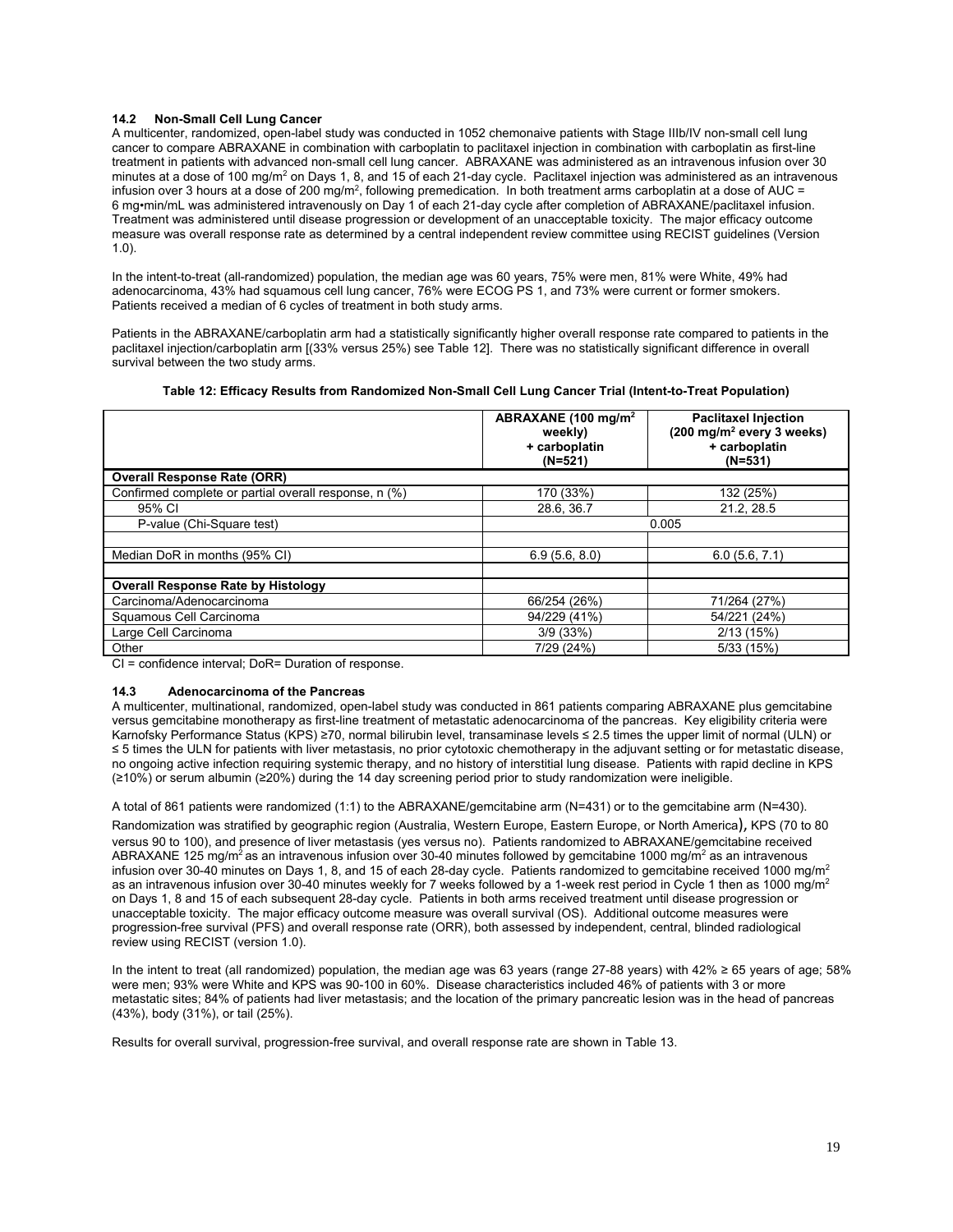# **14.2 Non-Small Cell Lung Cancer**

A multicenter, randomized, open-label study was conducted in 1052 chemonaive patients with Stage IIIb/IV non-small cell lung cancer to compare ABRAXANE in combination with carboplatin to paclitaxel injection in combination with carboplatin as first-line treatment in patients with advanced non-small cell lung cancer. ABRAXANE was administered as an intravenous infusion over 30 minutes at a dose of 100 mg/m<sup>2</sup> on Days 1, 8, and 15 of each 21-day cycle. Paclitaxel injection was administered as an intravenous infusion over 3 hours at a dose of 200 mg/m<sup>2</sup>, following premedication. In both treatment arms carboplatin at a dose of AUC = 6 mg•min/mL was administered intravenously on Day 1 of each 21-day cycle after completion of ABRAXANE/paclitaxel infusion. Treatment was administered until disease progression or development of an unacceptable toxicity. The major efficacy outcome measure was overall response rate as determined by a central independent review committee using RECIST guidelines (Version 1.0).

In the intent-to-treat (all-randomized) population, the median age was 60 years, 75% were men, 81% were White, 49% had adenocarcinoma, 43% had squamous cell lung cancer, 76% were ECOG PS 1, and 73% were current or former smokers. Patients received a median of 6 cycles of treatment in both study arms.

Patients in the ABRAXANE/carboplatin arm had a statistically significantly higher overall response rate compared to patients in the paclitaxel injection/carboplatin arm [(33% versus 25%) see Table 12]. There was no statistically significant difference in overall survival between the two study arms.

| Table 12: Efficacy Results from Randomized Non-Small Cell Lung Cancer Trial (Intent-to-Treat Population) |  |
|----------------------------------------------------------------------------------------------------------|--|
|----------------------------------------------------------------------------------------------------------|--|

|                                                       | ABRAXANE (100 mg/m <sup>2</sup><br>weekly)<br>+ carboplatin<br>$(N=521)$ | <b>Paclitaxel Injection</b><br>$(200 \text{ mg/m}^2 \text{ every } 3 \text{ weeks})$<br>+ carboplatin<br>$(N=531)$ |  |  |
|-------------------------------------------------------|--------------------------------------------------------------------------|--------------------------------------------------------------------------------------------------------------------|--|--|
| <b>Overall Response Rate (ORR)</b>                    |                                                                          |                                                                                                                    |  |  |
| Confirmed complete or partial overall response, n (%) | 170 (33%)                                                                | 132 (25%)                                                                                                          |  |  |
| 95% CI                                                | 28.6.36.7                                                                | 21.2.28.5                                                                                                          |  |  |
| P-value (Chi-Square test)                             | 0.005                                                                    |                                                                                                                    |  |  |
|                                                       |                                                                          |                                                                                                                    |  |  |
| Median DoR in months (95% CI)                         | 6.9(5.6, 8.0)                                                            | 6.0(5.6, 7.1)                                                                                                      |  |  |
|                                                       |                                                                          |                                                                                                                    |  |  |
| <b>Overall Response Rate by Histology</b>             |                                                                          |                                                                                                                    |  |  |
| Carcinoma/Adenocarcinoma                              | 66/254 (26%)                                                             | 71/264 (27%)                                                                                                       |  |  |
| Squamous Cell Carcinoma                               | 94/229 (41%)                                                             | 54/221 (24%)                                                                                                       |  |  |
| Large Cell Carcinoma                                  | 3/9(33%)                                                                 | 2/13(15%)                                                                                                          |  |  |
| Other                                                 | 7/29 (24%)                                                               | 5/33 (15%)                                                                                                         |  |  |

CI = confidence interval; DoR= Duration of response.

#### **14.3 Adenocarcinoma of the Pancreas**

A multicenter, multinational, randomized, open-label study was conducted in 861 patients comparing ABRAXANE plus gemcitabine versus gemcitabine monotherapy as first-line treatment of metastatic adenocarcinoma of the pancreas. Key eligibility criteria were Karnofsky Performance Status (KPS) ≥70, normal bilirubin level, transaminase levels ≤ 2.5 times the upper limit of normal (ULN) or ≤ 5 times the ULN for patients with liver metastasis, no prior cytotoxic chemotherapy in the adjuvant setting or for metastatic disease, no ongoing active infection requiring systemic therapy, and no history of interstitial lung disease. Patients with rapid decline in KPS (≥10%) or serum albumin (≥20%) during the 14 day screening period prior to study randomization were ineligible.

A total of 861 patients were randomized (1:1) to the ABRAXANE/gemcitabine arm (N=431) or to the gemcitabine arm (N=430).

Randomization was stratified by geographic region (Australia, Western Europe, Eastern Europe, or North America), KPS (70 to 80 versus 90 to 100), and presence of liver metastasis (yes versus no). Patients randomized to ABRAXANE/gemcitabine received ABRAXANE 125 mg/m<sup>2</sup> as an intravenous infusion over 30-40 minutes followed by gemcitabine 1000 mg/m<sup>2</sup> as an intravenous infusion over 30-40 minutes on Days 1, 8, and 15 of each 28-day cycle. Patients randomized to gemcitabine received 1000 mg/m<sup>2</sup> as an intravenous infusion over 30-40 minutes weekly for 7 weeks followed by a 1-week rest period in Cycle 1 then as 1000 mg/m<sup>2</sup> on Days 1, 8 and 15 of each subsequent 28-day cycle. Patients in both arms received treatment until disease progression or unacceptable toxicity. The major efficacy outcome measure was overall survival (OS). Additional outcome measures were progression-free survival (PFS) and overall response rate (ORR), both assessed by independent, central, blinded radiological review using RECIST (version 1.0).

In the intent to treat (all randomized) population, the median age was 63 years (range 27-88 years) with 42% ≥ 65 years of age; 58% were men; 93% were White and KPS was 90-100 in 60%. Disease characteristics included 46% of patients with 3 or more metastatic sites; 84% of patients had liver metastasis; and the location of the primary pancreatic lesion was in the head of pancreas (43%), body (31%), or tail (25%).

Results for overall survival, progression-free survival, and overall response rate are shown in Table 13.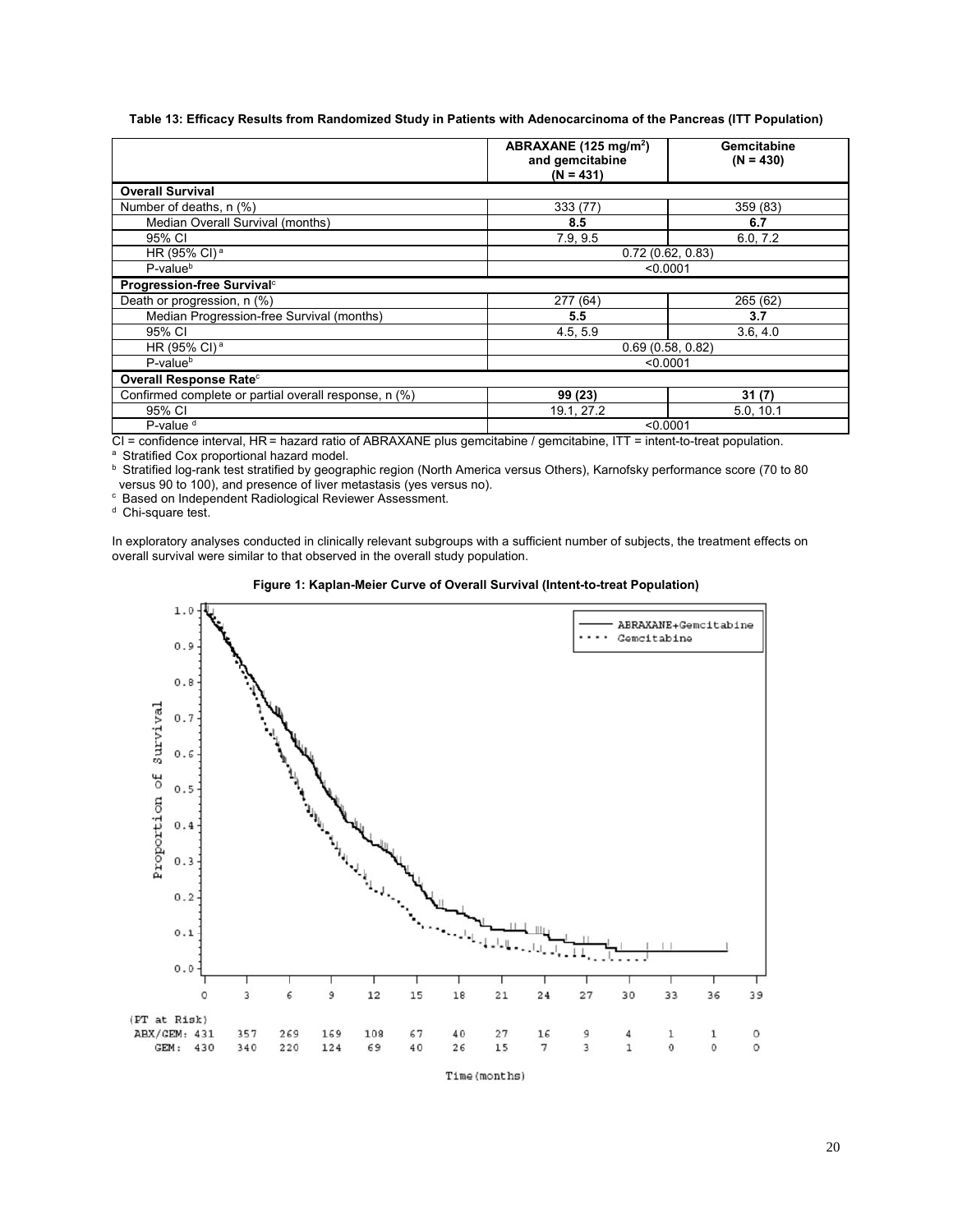#### **Table 13: Efficacy Results from Randomized Study in Patients with Adenocarcinoma of the Pancreas (ITT Population)**

|                                                       | ABRAXANE (125 mg/m <sup>2</sup> )<br>and gemcitabine<br>$(N = 431)$ | Gemcitabine<br>$(N = 430)$ |  |  |
|-------------------------------------------------------|---------------------------------------------------------------------|----------------------------|--|--|
| <b>Overall Survival</b>                               |                                                                     |                            |  |  |
| Number of deaths, n (%)                               | 333 (77)                                                            | 359 (83)                   |  |  |
| Median Overall Survival (months)                      | 8.5                                                                 | 6.7                        |  |  |
| 95% CI                                                | 7.9, 9.5                                                            | 6.0, 7.2                   |  |  |
| HR (95% CI) <sup>a</sup>                              | 0.72(0.62, 0.83)                                                    |                            |  |  |
| $P-valueb$                                            |                                                                     | < 0.0001                   |  |  |
| Progression-free Survival <sup>c</sup>                |                                                                     |                            |  |  |
| Death or progression, n (%)                           | 277(64)                                                             | 265 (62)                   |  |  |
| Median Progression-free Survival (months)             | 5.5                                                                 | 3.7                        |  |  |
| 95% CI                                                | 4.5, 5.9                                                            | 3.6, 4.0                   |  |  |
| HR (95% CI) <sup>a</sup>                              | 0.69(0.58, 0.82)                                                    |                            |  |  |
| P-value <sup>b</sup>                                  | < 0.0001                                                            |                            |  |  |
| Overall Response Rate <sup>c</sup>                    |                                                                     |                            |  |  |
| Confirmed complete or partial overall response, n (%) | 99 (23)                                                             | 31(7)                      |  |  |
| 95% CI                                                | 19.1, 27.2                                                          | 5.0, 10.1                  |  |  |
| P-value <sup>d</sup>                                  | < 0.0001                                                            |                            |  |  |

CI = confidence interval, HR = hazard ratio of ABRAXANE plus gemcitabine / gemcitabine, ITT = intent-to-treat population.<br>
a Stratified Cox proportional hazard model.<br>
b Stratified log-rank test stratified by geographic r

 $\degree$  Based on Independent Radiological Reviewer Assessment.  $\degree$  Chi-square test.

In exploratory analyses conducted in clinically relevant subgroups with a sufficient number of subjects, the treatment effects on overall survival were similar to that observed in the overall study population.





Time (months)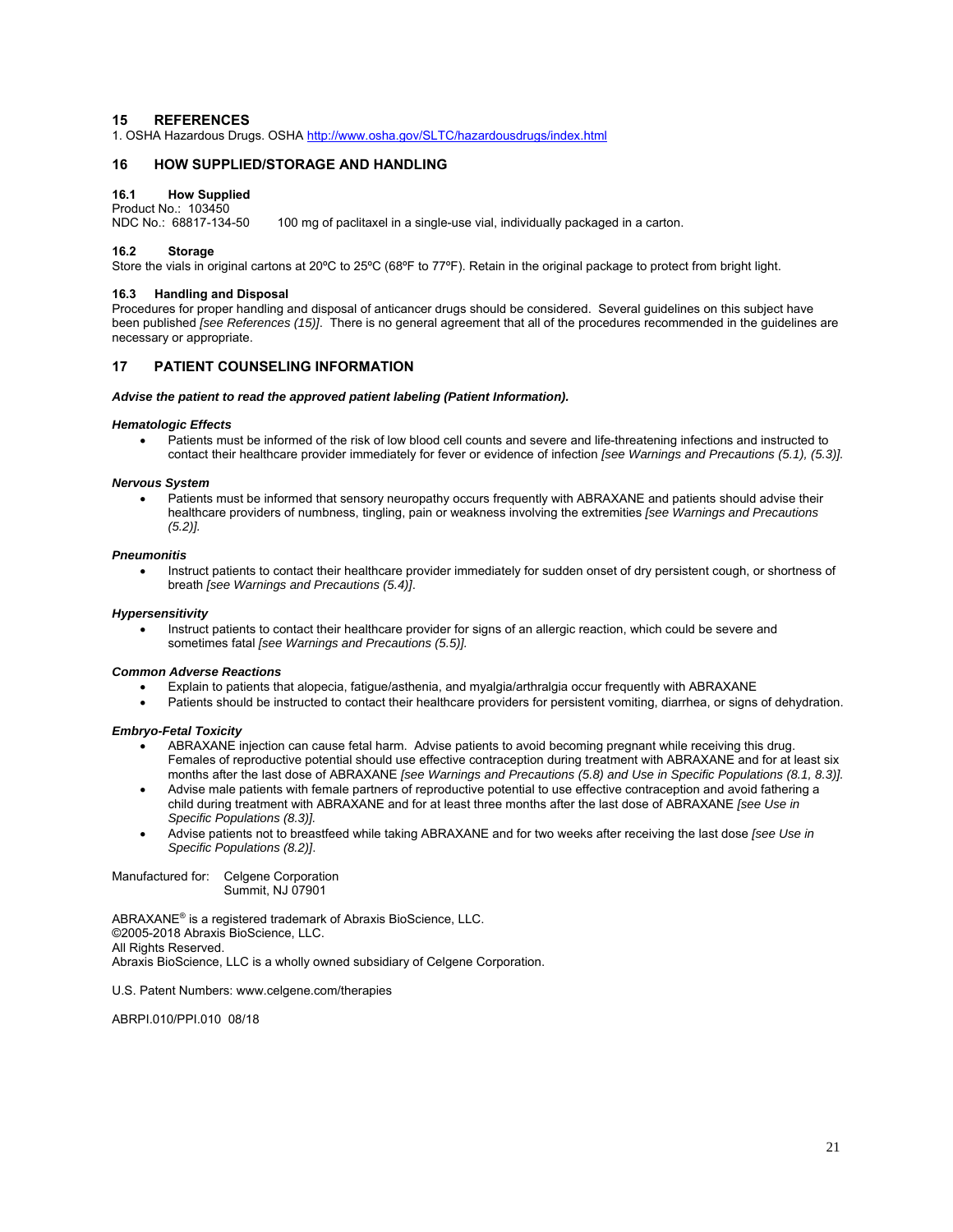# **15 REFERENCES**

1. OSHA Hazardous Drugs. OSHA http://www.osha.gov/SLTC/hazardousdrugs/index.html

# **16 HOW SUPPLIED/STORAGE AND HANDLING**

#### **16.1 How Supplied**

Product No.: 103450<br>NDC No.: 68817-134-50 100 mg of paclitaxel in a single-use vial, individually packaged in a carton.

# **16.2 Storage**

Store the vials in original cartons at 20ºC to 25ºC (68ºF to 77ºF). Retain in the original package to protect from bright light.

#### **16.3 Handling and Disposal**

Procedures for proper handling and disposal of anticancer drugs should be considered. Several guidelines on this subject have been published *[see References (15)]*. There is no general agreement that all of the procedures recommended in the guidelines are necessary or appropriate.

# **17 PATIENT COUNSELING INFORMATION**

#### *Advise the patient to read the approved patient labeling (Patient Information).*

#### *Hematologic Effects*

 Patients must be informed of the risk of low blood cell counts and severe and life-threatening infections and instructed to contact their healthcare provider immediately for fever or evidence of infection *[see Warnings and Precautions (5.1), (5.3)].*

#### *Nervous System*

Patients must be informed that sensory neuropathy occurs frequently with ABRAXANE and patients should advise their healthcare providers of numbness, tingling, pain or weakness involving the extremities *[see Warnings and Precautions (5.2)].*

#### *Pneumonitis*

 Instruct patients to contact their healthcare provider immediately for sudden onset of dry persistent cough, or shortness of breath *[see Warnings and Precautions (5.4)]*.

#### *Hypersensitivity*

Instruct patients to contact their healthcare provider for signs of an allergic reaction, which could be severe and sometimes fatal *[see Warnings and Precautions (5.5)].*

#### *Common Adverse Reactions*

- Explain to patients that alopecia, fatigue/asthenia, and myalgia/arthralgia occur frequently with ABRAXANE
- Patients should be instructed to contact their healthcare providers for persistent vomiting, diarrhea, or signs of dehydration.

#### *Embryo-Fetal Toxicity*

- ABRAXANE injection can cause fetal harm. Advise patients to avoid becoming pregnant while receiving this drug. Females of reproductive potential should use effective contraception during treatment with ABRAXANE and for at least six months after the last dose of ABRAXANE *[see Warnings and Precautions (5.8) and Use in Specific Populations (8.1, 8.3)].*
- Advise male patients with female partners of reproductive potential to use effective contraception and avoid fathering a child during treatment with ABRAXANE and for at least three months after the last dose of ABRAXANE *[see Use in Specific Populations (8.3)].*
- Advise patients not to breastfeed while taking ABRAXANE and for two weeks after receiving the last dose *[see Use in Specific Populations (8.2)]*.

Manufactured for: Celgene Corporation Summit, NJ 07901

ABRAXANE® is a registered trademark of Abraxis BioScience, LLC. ©2005-2018 Abraxis BioScience, LLC. All Rights Reserved. Abraxis BioScience, LLC is a wholly owned subsidiary of Celgene Corporation.

U.S. Patent Numbers: www.celgene.com/therapies

ABRPI.010/PPI.010 08/18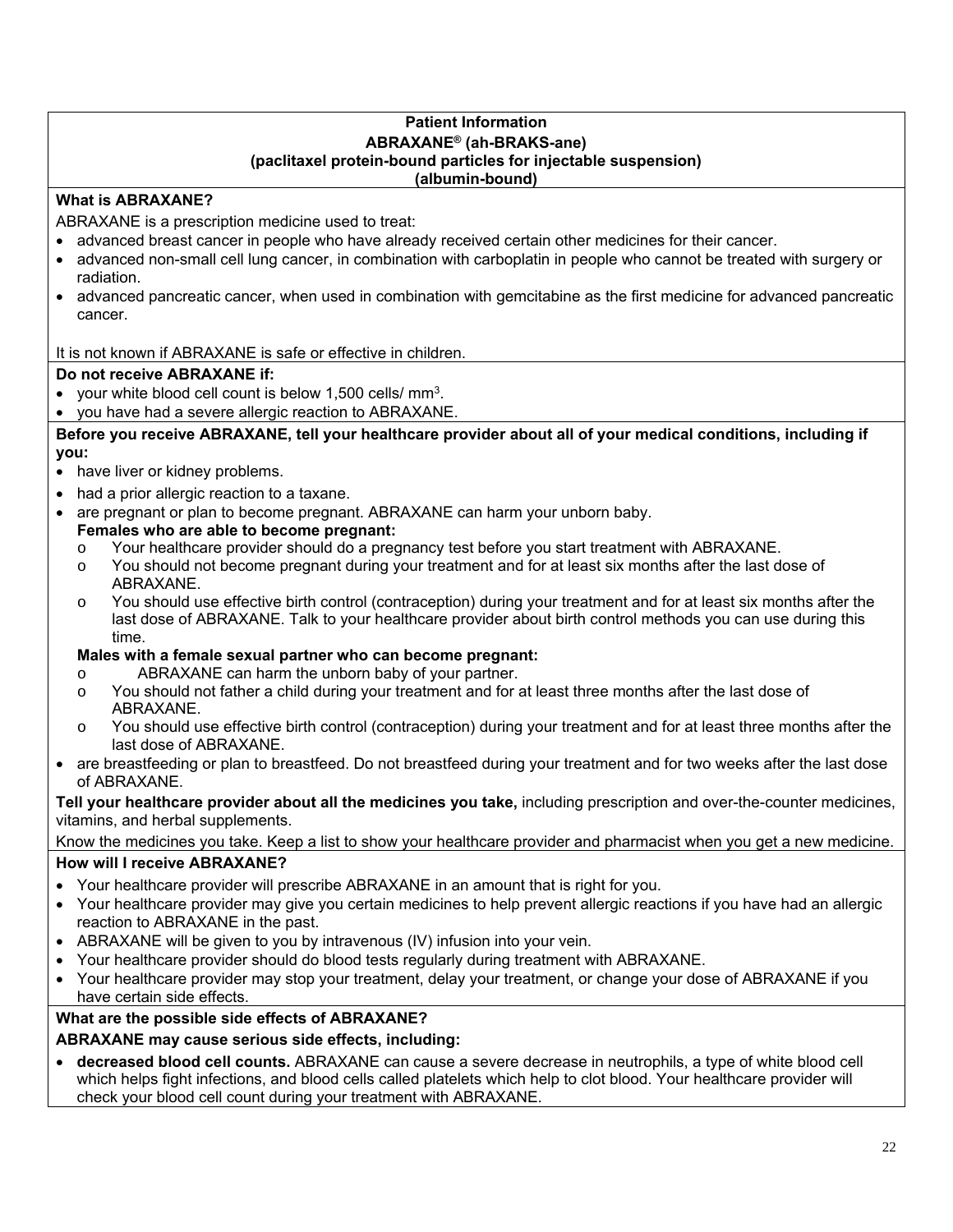# **Patient Information ABRAXANE® (ah-BRAKS-ane) (paclitaxel protein-bound particles for injectable suspension) (albumin-bound)**

# **What is ABRAXANE?**

ABRAXANE is a prescription medicine used to treat:

- advanced breast cancer in people who have already received certain other medicines for their cancer.
- advanced non-small cell lung cancer, in combination with carboplatin in people who cannot be treated with surgery or radiation.
- advanced pancreatic cancer, when used in combination with gemcitabine as the first medicine for advanced pancreatic cancer.

It is not known if ABRAXANE is safe or effective in children.

# **Do not receive ABRAXANE if:**

- your white blood cell count is below 1,500 cells/ mm3.
- you have had a severe allergic reaction to ABRAXANE.

**Before you receive ABRAXANE, tell your healthcare provider about all of your medical conditions, including if you:** 

- have liver or kidney problems.
- had a prior allergic reaction to a taxane.
- are pregnant or plan to become pregnant. ABRAXANE can harm your unborn baby.
- **Females who are able to become pregnant:** 
	- o Your healthcare provider should do a pregnancy test before you start treatment with ABRAXANE.
	- o You should not become pregnant during your treatment and for at least six months after the last dose of ABRAXANE.
	- o You should use effective birth control (contraception) during your treatment and for at least six months after the last dose of ABRAXANE. Talk to your healthcare provider about birth control methods you can use during this time.

# **Males with a female sexual partner who can become pregnant:**

- o ABRAXANE can harm the unborn baby of your partner.
- o You should not father a child during your treatment and for at least three months after the last dose of ABRAXANE.
- o You should use effective birth control (contraception) during your treatment and for at least three months after the last dose of ABRAXANE.
- are breastfeeding or plan to breastfeed. Do not breastfeed during your treatment and for two weeks after the last dose of ABRAXANE.

**Tell your healthcare provider about all the medicines you take,** including prescription and over-the-counter medicines, vitamins, and herbal supplements.

Know the medicines you take. Keep a list to show your healthcare provider and pharmacist when you get a new medicine.

# **How will I receive ABRAXANE?**

- Your healthcare provider will prescribe ABRAXANE in an amount that is right for you.
- Your healthcare provider may give you certain medicines to help prevent allergic reactions if you have had an allergic reaction to ABRAXANE in the past.
- ABRAXANE will be given to you by intravenous (IV) infusion into your vein.
- Your healthcare provider should do blood tests regularly during treatment with ABRAXANE.
- Your healthcare provider may stop your treatment, delay your treatment, or change your dose of ABRAXANE if you have certain side effects.

# **What are the possible side effects of ABRAXANE?**

# **ABRAXANE may cause serious side effects, including:**

 **decreased blood cell counts.** ABRAXANE can cause a severe decrease in neutrophils, a type of white blood cell which helps fight infections, and blood cells called platelets which help to clot blood. Your healthcare provider will check your blood cell count during your treatment with ABRAXANE.